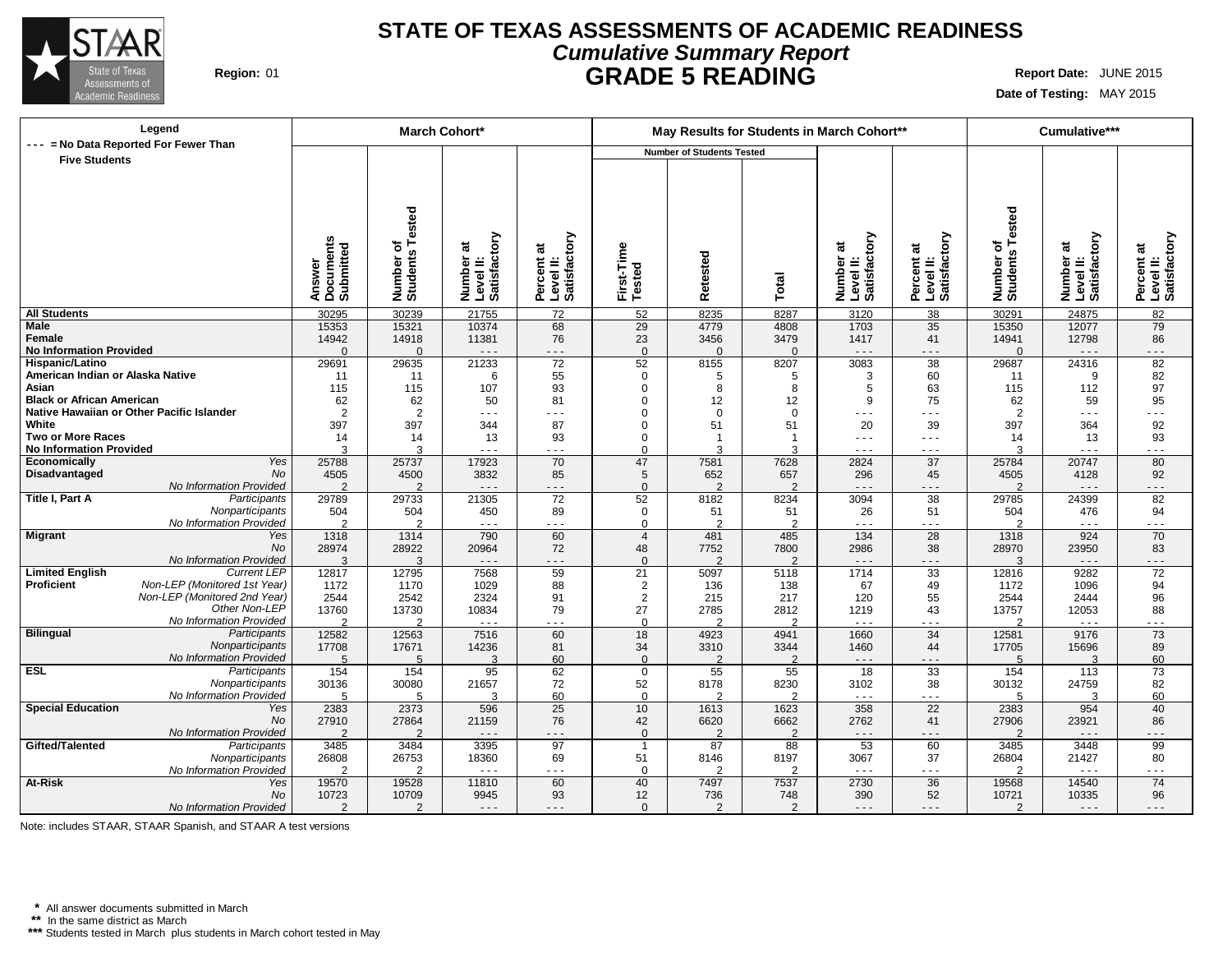

# **STATE OF TEXAS ASSESSMENTS OF ACADEMIC READINESS Cumulative Summary Report Region:** 01 **GRADE 5 READING Report Date:** JUNE 2015

**Date of Testing:** MAY 2015

| Legend                                         |                        | March Cohort*          |                                        |                                         |                      | May Results for Students in March Cohort** |                       |                                        |                           |                        | Cumulative***                          |                                         |
|------------------------------------------------|------------------------|------------------------|----------------------------------------|-----------------------------------------|----------------------|--------------------------------------------|-----------------------|----------------------------------------|---------------------------|------------------------|----------------------------------------|-----------------------------------------|
| --- = No Data Reported For Fewer Than          |                        |                        |                                        |                                         |                      | <b>Number of Students Tested</b>           |                       |                                        |                           |                        |                                        |                                         |
| <b>Five Students</b>                           |                        |                        |                                        |                                         |                      |                                            |                       |                                        |                           |                        |                                        |                                         |
|                                                |                        |                        |                                        |                                         |                      |                                            |                       |                                        |                           |                        |                                        |                                         |
|                                                |                        |                        |                                        |                                         |                      |                                            |                       |                                        |                           |                        |                                        |                                         |
|                                                |                        |                        |                                        |                                         |                      |                                            |                       |                                        |                           |                        |                                        |                                         |
|                                                |                        | <b>Tested</b>          |                                        |                                         |                      |                                            |                       |                                        |                           | Tested                 |                                        |                                         |
|                                                |                        |                        |                                        |                                         |                      |                                            |                       |                                        |                           |                        |                                        |                                         |
|                                                | Documents<br>Submitted |                        | Number at<br>Level II:<br>Satisfactory | Percent at<br>Level II:<br>Satisfactory |                      |                                            |                       | Number at<br>Level II:<br>Satisfactory | Level II:<br>Satisfactory |                        | Number at<br>Level II:<br>Satisfactory | Percent at<br>Level II:<br>Satisfactory |
|                                                |                        | ৳                      |                                        |                                         |                      |                                            |                       |                                        |                           | ৳                      |                                        |                                         |
|                                                |                        |                        |                                        |                                         |                      |                                            |                       |                                        |                           |                        |                                        |                                         |
|                                                |                        |                        |                                        |                                         |                      |                                            |                       |                                        |                           |                        |                                        |                                         |
|                                                | Answer                 | Number of<br>Students  |                                        |                                         | First-Time<br>Tested | Retested                                   | Total                 |                                        | Percent at                | Number of<br>Students  |                                        |                                         |
| <b>All Students</b>                            | 30295                  | 30239                  | 21755                                  | $\overline{72}$                         | $\overline{52}$      | 8235                                       | 8287                  | 3120                                   | 38                        | 30291                  | 24875                                  | $\overline{82}$                         |
| <b>Male</b>                                    | 15353                  | 15321                  | 10374                                  | 68                                      | 29                   | 4779                                       | 4808                  | 1703                                   | 35                        | 15350                  | 12077                                  | 79                                      |
| Female                                         | 14942                  | 14918                  | 11381                                  | 76                                      | 23                   | 3456                                       | 3479                  | 1417                                   | 41                        | 14941                  | 12798                                  | 86                                      |
| <b>No Information Provided</b>                 | $\Omega$               | $\Omega$               | $\sim$ $\sim$ $\sim$                   | .                                       | $\Omega$             | $\Omega$                                   | $\Omega$              | $\sim$ $\sim$ $\sim$                   | .                         | $\Omega$               | $\sim$ .                               | $- - -$                                 |
| Hispanic/Latino                                | 29691                  | 29635                  | 21233                                  | $\overline{72}$                         | 52                   | 8155                                       | 8207                  | 3083                                   | $\overline{38}$           | 29687                  | 24316                                  | 82                                      |
| American Indian or Alaska Native               | 11                     | 11                     | 6                                      | 55                                      | $\mathbf 0$          | 5                                          | 5                     | 3                                      | 60                        | 11                     | 9                                      | 82                                      |
| Asian                                          | 115                    | 115                    | 107                                    | 93                                      | $\Omega$             | 8                                          | 8                     | 5                                      | 63                        | 115                    | 112                                    | 97                                      |
| <b>Black or African American</b>               | 62                     | 62                     | 50                                     | 81                                      | $\Omega$             | 12                                         | 12                    | 9                                      | 75                        | 62                     | 59                                     | 95                                      |
| Native Hawaiian or Other Pacific Islander      | $\overline{2}$         | $\overline{2}$         | $- - -$                                | - - -                                   | $\Omega$             | $\mathbf 0$                                | $\Omega$              | $  -$                                  | $- - -$                   | $\overline{2}$         | $\sim$ $\sim$ $\sim$                   | $  -$                                   |
| White                                          | 397                    | 397                    | 344                                    | 87                                      | $\Omega$             | 51                                         | 51                    | 20                                     | 39                        | 397                    | 364                                    | 92                                      |
| Two or More Races                              | 14                     | 14                     | 13                                     | 93                                      | $\mathbf{0}$         | $\overline{1}$                             | $\overline{1}$        | $- - -$                                | $- - -$                   | 14                     | 13                                     | 93                                      |
| <b>No Information Provided</b>                 | 3                      | 3                      | - - -                                  | .                                       | $\Omega$             | 3                                          | 3                     | $\sim$ $\sim$ $\sim$                   | $\sim$ $\sim$ $\sim$      | 3                      | $\sim$ $\sim$ $\sim$                   | .                                       |
| Economically<br>Yes                            | 25788                  | 25737                  | 17923                                  | 70                                      | 47                   | 7581                                       | 7628                  | 2824                                   | 37                        | 25784                  | 20747                                  | 80                                      |
| No<br>Disadvantaged<br>No Information Provided | 4505<br>$\overline{2}$ | 4500<br>$\overline{2}$ | 3832<br>$\sim$ $\sim$ $\sim$           | 85<br>- - -                             | 5                    | 652<br>$\overline{2}$                      | 657<br>$\overline{2}$ | 296<br>$- - -$                         | 45<br>- - -               | 4505<br>$\overline{2}$ | 4128<br>$- - -$                        | 92<br>$- - -$                           |
| Title I, Part A<br>Participants                | 29789                  | 29733                  | 21305                                  | 72                                      | $\mathbf{0}$<br>52   | 8182                                       | 8234                  | 3094                                   | 38                        | 29785                  | 24399                                  | 82                                      |
| Nonparticipants                                | 504                    | 504                    | 450                                    | 89                                      | $\mathbf 0$          | 51                                         | 51                    | 26                                     | 51                        | 504                    | 476                                    | 94                                      |
| No Information Provided                        | $\overline{2}$         | $\overline{2}$         | - - -                                  | .                                       | $\Omega$             | 2                                          | 2                     | $\sim$ $\sim$ $\sim$                   | .                         | $\overline{2}$         | $\sim$ $\sim$ $\sim$                   | .                                       |
| <b>Migrant</b><br>Yes                          | 1318                   | 1314                   | 790                                    | 60                                      | $\overline{4}$       | 481                                        | 485                   | 134                                    | 28                        | 1318                   | 924                                    | 70                                      |
| No                                             | 28974                  | 28922                  | 20964                                  | 72                                      | 48                   | 7752                                       | 7800                  | 2986                                   | 38                        | 28970                  | 23950                                  | 83                                      |
| No Information Provided                        | 3                      | 3                      | $\sim$ $\sim$ $\sim$                   | - - -                                   | $\Omega$             | 2                                          | $\mathfrak{p}$        | $\sim$ $\sim$ $\sim$                   | .                         | 3                      | $\sim$ $\sim$ $\sim$                   | $- - -$                                 |
| <b>Limited English</b><br><b>Current LEP</b>   | 12817                  | 12795                  | 7568                                   | 59                                      | 21                   | 5097                                       | 5118                  | 1714                                   | 33                        | 12816                  | 9282                                   | 72                                      |
| Proficient<br>Non-LEP (Monitored 1st Year)     | 1172                   | 1170                   | 1029                                   | 88                                      | $\overline{2}$       | 136                                        | 138                   | 67                                     | 49                        | 1172                   | 1096                                   | 94                                      |
| Non-LEP (Monitored 2nd Year)                   | 2544                   | 2542                   | 2324                                   | 91                                      | $\overline{2}$       | 215                                        | 217                   | 120                                    | 55                        | 2544                   | 2444                                   | 96                                      |
| Other Non-LEP                                  | 13760                  | 13730                  | 10834                                  | 79                                      | 27                   | 2785                                       | 2812                  | 1219                                   | 43                        | 13757                  | 12053                                  | 88                                      |
| No Information Provided                        | $\mathcal{P}$          | C                      | $\sim$ $\sim$ $\sim$                   | .                                       | $\Omega$             | C                                          | $\mathcal{P}$         | $\sim$ $\sim$ $\sim$                   | $  -$                     | C                      | $\sim$ $\sim$ $\sim$                   | .                                       |
| Bilingual<br>Participants<br>Nonparticipants   | 12582                  | 12563                  | 7516                                   | 60                                      | 18                   | 4923                                       | 4941                  | 1660                                   | 34                        | 12581                  | 9176                                   | 73                                      |
| No Information Provided                        | 17708<br>5             | 17671<br>5             | 14236<br>$\mathcal{R}$                 | 81<br>60                                | 34<br>$\Omega$       | 3310<br>$\mathfrak{p}$                     | 3344<br>$\mathcal{P}$ | 1460<br>$  -$                          | 44<br>$  -$               | 17705<br>5             | 15696<br>3                             | 89<br>60                                |
| <b>ESL</b><br>Participants                     | 154                    | 154                    | 95                                     | 62                                      | $\mathbf 0$          | 55                                         | 55                    | $\overline{18}$                        | 33                        | 154                    | 113                                    | 73                                      |
| Nonparticipants                                | 30136                  | 30080                  | 21657                                  | 72                                      | 52                   | 8178                                       | 8230                  | 3102                                   | 38                        | 30132                  | 24759                                  | 82                                      |
| No Information Provided                        | 5                      | 5                      | 3                                      | 60                                      | $\mathbf 0$          | $\mathfrak{p}$                             | $\mathcal{P}$         | $\sim$ $\sim$ $\sim$                   | .                         | 5                      | 3                                      | 60                                      |
| <b>Special Education</b><br>Yes                | 2383                   | 2373                   | 596                                    | $\overline{25}$                         | 10                   | 1613                                       | 1623                  | 358                                    | 22                        | 2383                   | 954                                    | 40                                      |
| No                                             | 27910                  | 27864                  | 21159                                  | 76                                      | 42                   | 6620                                       | 6662                  | 2762                                   | 41                        | 27906                  | 23921                                  | 86                                      |
| No Information Provided                        | $\overline{2}$         | $\overline{2}$         | $\sim$ $\sim$ $\sim$                   | - - -                                   | $\mathbf{0}$         | $\overline{2}$                             | $\overline{2}$        | $  -$                                  | $  -$                     | 2                      | $  -$                                  |                                         |
| Gifted/Talented<br>Participants                | 3485                   | 3484                   | 3395                                   | $\overline{97}$                         | $\overline{1}$       | $\overline{87}$                            | 88                    | $\overline{53}$                        | 60                        | 3485                   | 3448                                   | $\overline{99}$                         |
| Nonparticipants                                | 26808                  | 26753                  | 18360                                  | 69                                      | 51                   | 8146                                       | 8197                  | 3067                                   | 37                        | 26804                  | 21427                                  | 80                                      |
| No Information Provided                        | $\overline{2}$         | 2                      | $\sim$ $\sim$ $\sim$                   | - - -                                   | $\Omega$             | 2                                          | 2                     | $\sim$ $\sim$ $\sim$                   | $\sim$ $\sim$ $\sim$      | $\overline{2}$         | $  -$                                  | $ -$                                    |
| <b>At-Risk</b><br>Yes                          | 19570                  | 19528                  | 11810                                  | 60                                      | 40                   | 7497                                       | 7537                  | 2730                                   | 36                        | 19568                  | 14540                                  | 74                                      |
| No                                             | 10723                  | 10709                  | 9945                                   | 93                                      | 12                   | 736                                        | 748                   | 390                                    | 52                        | 10721                  | 10335                                  | 96                                      |
| No Information Provided                        | 2                      | $\overline{2}$         | $\cdots$                               | .                                       | $\mathbf{0}$         | 2                                          | $\overline{2}$        | $\sim$ $\sim$ $\sim$                   | .                         | $\overline{2}$         | $\sim$ $\sim$ $\sim$                   | - - -                                   |

Note: includes STAAR, STAAR Spanish, and STAAR A test versions

**\*** All answer documents submitted in March **\*\*** In the same district as March

**\*\*\*** Students tested in March plus students in March cohort tested in May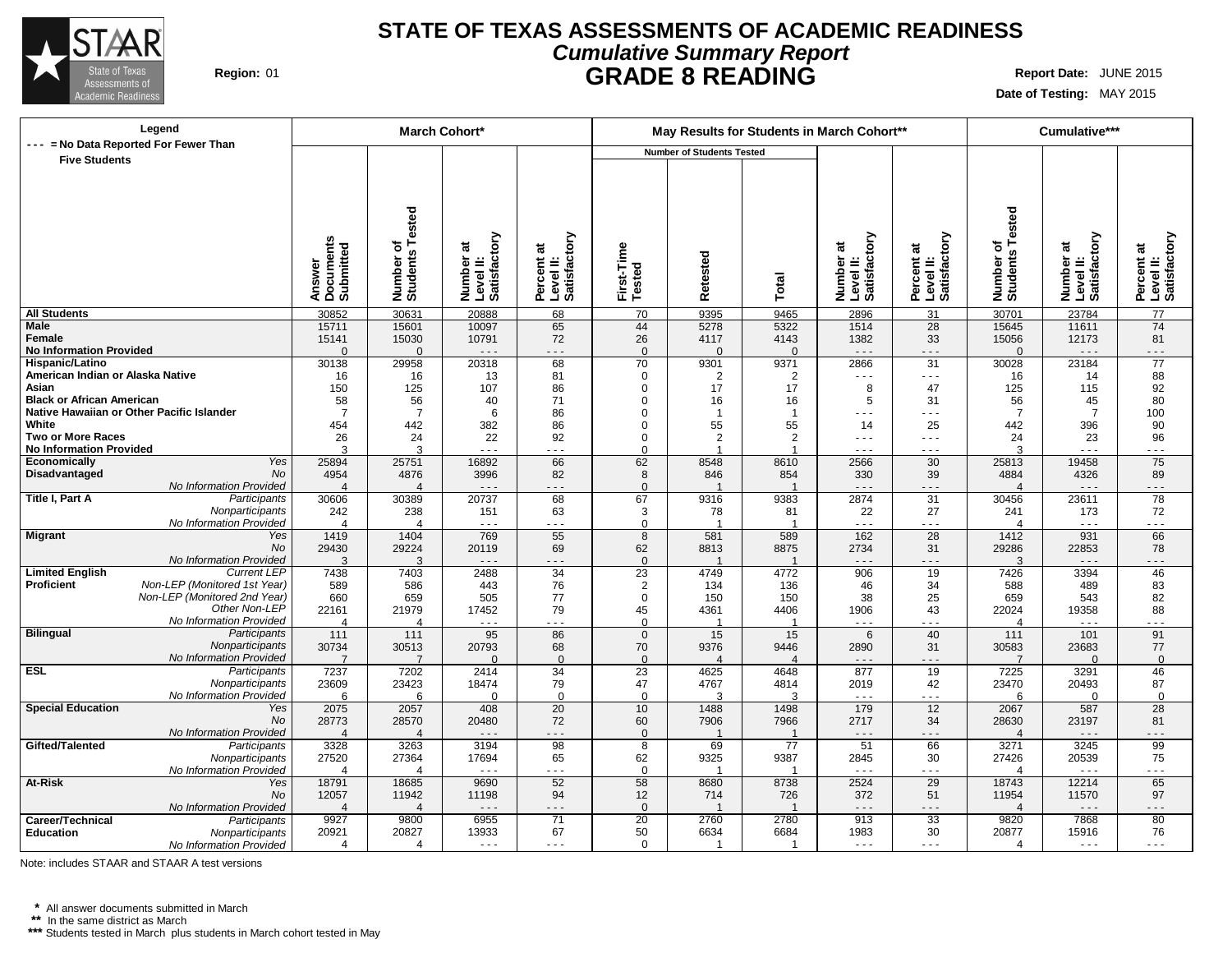

# **STATE OF TEXAS ASSESSMENTS OF ACADEMIC READINESS Cumulative Summary Report Region:** 01 **GRADE 8 READING Report Date:** JUNE 2015

**Date of Testing:** MAY 2015

| Legend                                              |                                  | <b>March Cohort*</b>  |                                        |                                         |                      |                                  | May Results for Students in March Cohort** |                                                                                                                                                                                                                                                                                                                                                                                              |                                         |                       | Cumulative***                          |                                         |
|-----------------------------------------------------|----------------------------------|-----------------------|----------------------------------------|-----------------------------------------|----------------------|----------------------------------|--------------------------------------------|----------------------------------------------------------------------------------------------------------------------------------------------------------------------------------------------------------------------------------------------------------------------------------------------------------------------------------------------------------------------------------------------|-----------------------------------------|-----------------------|----------------------------------------|-----------------------------------------|
| --- = No Data Reported For Fewer Than               |                                  |                       |                                        |                                         |                      | <b>Number of Students Tested</b> |                                            |                                                                                                                                                                                                                                                                                                                                                                                              |                                         |                       |                                        |                                         |
| <b>Five Students</b>                                |                                  |                       |                                        |                                         |                      |                                  |                                            |                                                                                                                                                                                                                                                                                                                                                                                              |                                         |                       |                                        |                                         |
|                                                     |                                  |                       |                                        |                                         |                      |                                  |                                            |                                                                                                                                                                                                                                                                                                                                                                                              |                                         |                       |                                        |                                         |
|                                                     |                                  |                       |                                        |                                         |                      |                                  |                                            |                                                                                                                                                                                                                                                                                                                                                                                              |                                         |                       |                                        |                                         |
|                                                     |                                  |                       |                                        |                                         |                      |                                  |                                            |                                                                                                                                                                                                                                                                                                                                                                                              |                                         |                       |                                        |                                         |
|                                                     |                                  | Tested                |                                        |                                         |                      |                                  |                                            |                                                                                                                                                                                                                                                                                                                                                                                              |                                         | Tested                |                                        |                                         |
|                                                     |                                  |                       |                                        |                                         |                      |                                  |                                            |                                                                                                                                                                                                                                                                                                                                                                                              |                                         |                       |                                        |                                         |
|                                                     |                                  | ৳                     |                                        |                                         |                      |                                  |                                            |                                                                                                                                                                                                                                                                                                                                                                                              |                                         | ৳                     |                                        |                                         |
|                                                     |                                  |                       |                                        |                                         |                      |                                  |                                            |                                                                                                                                                                                                                                                                                                                                                                                              |                                         |                       |                                        |                                         |
|                                                     |                                  |                       |                                        |                                         |                      |                                  |                                            |                                                                                                                                                                                                                                                                                                                                                                                              |                                         |                       |                                        |                                         |
|                                                     | Answer<br>Documents<br>Submitted | Number or<br>Students | Number at<br>Level II:<br>Satisfactory | Percent at<br>Level II:<br>Satisfactory | First-Time<br>Tested | Retested                         | Total                                      | Number at<br>Level II:<br>Satisfactory                                                                                                                                                                                                                                                                                                                                                       | Percent at<br>Level II:<br>Satisfactory | Number of<br>Students | Number at<br>Level II:<br>Satisfactory | Percent at<br>Level II:<br>Satisfactory |
|                                                     |                                  |                       |                                        |                                         |                      |                                  |                                            |                                                                                                                                                                                                                                                                                                                                                                                              |                                         |                       |                                        |                                         |
| <b>All Students</b>                                 | 30852                            | 30631                 | 20888                                  | 68                                      | 70                   | 9395                             | 9465                                       | 2896                                                                                                                                                                                                                                                                                                                                                                                         | 31                                      | 30701                 | 23784                                  | 77                                      |
| <b>Male</b><br>Female                               | 15711<br>15141                   | 15601<br>15030        | 10097<br>10791                         | 65<br>72                                | 44<br>26             | 5278<br>4117                     | 5322<br>4143                               | 1514<br>1382                                                                                                                                                                                                                                                                                                                                                                                 | 28<br>33                                | 15645<br>15056        | 11611<br>12173                         | 74<br>81                                |
| <b>No Information Provided</b>                      | $\Omega$                         | $\Omega$              | $\sim$ $\sim$ $\sim$                   | - - -                                   | $\Omega$             | $\Omega$                         | $\Omega$                                   | $\sim$ $\sim$ $\sim$                                                                                                                                                                                                                                                                                                                                                                         | .                                       | $\Omega$              | $- - -$                                | $- - -$                                 |
| Hispanic/Latino                                     | 30138                            | 29958                 | 20318                                  | 68                                      | 70                   | 9301                             | 9371                                       | 2866                                                                                                                                                                                                                                                                                                                                                                                         | 31                                      | 30028                 | 23184                                  | $\overline{77}$                         |
| American Indian or Alaska Native                    | 16                               | 16                    | 13                                     | 81                                      | $\mathbf 0$          | $\overline{2}$                   | 2                                          | $\frac{1}{2} \frac{1}{2} \frac{1}{2} \frac{1}{2} \frac{1}{2} \frac{1}{2} \frac{1}{2} \frac{1}{2} \frac{1}{2} \frac{1}{2} \frac{1}{2} \frac{1}{2} \frac{1}{2} \frac{1}{2} \frac{1}{2} \frac{1}{2} \frac{1}{2} \frac{1}{2} \frac{1}{2} \frac{1}{2} \frac{1}{2} \frac{1}{2} \frac{1}{2} \frac{1}{2} \frac{1}{2} \frac{1}{2} \frac{1}{2} \frac{1}{2} \frac{1}{2} \frac{1}{2} \frac{1}{2} \frac{$ | $\sim$ $\sim$ $\sim$                    | 16                    | 14                                     | 88                                      |
| Asian                                               | 150                              | 125                   | 107                                    | 86                                      | 0                    | 17                               | 17                                         | 8                                                                                                                                                                                                                                                                                                                                                                                            | 47                                      | 125                   | 115                                    | 92                                      |
| <b>Black or African American</b>                    | 58                               | 56                    | 40                                     | 71                                      | 0                    | 16                               | 16                                         | 5                                                                                                                                                                                                                                                                                                                                                                                            | 31                                      | 56                    | 45                                     | 80                                      |
| Native Hawaiian or Other Pacific Islander           | $\overline{7}$                   | $\overline{7}$        | 6                                      | 86                                      | 0                    | $\overline{1}$                   | $\overline{1}$                             | $\sim$ $\sim$ $\sim$                                                                                                                                                                                                                                                                                                                                                                         | $\sim$ $\sim$ $\sim$                    | $\overline{7}$        | $\overline{7}$                         | 100                                     |
| White                                               | 454                              | 442                   | 382                                    | 86                                      | 0                    | 55                               | 55                                         | 14                                                                                                                                                                                                                                                                                                                                                                                           | 25                                      | 442                   | 396                                    | 90                                      |
| Two or More Races<br><b>No Information Provided</b> | 26<br>3                          | 24<br>3               | 22<br>$- - -$                          | 92<br>- - -                             | 0<br>$\Omega$        | $\overline{2}$<br>$\overline{ }$ | $\overline{2}$                             | $\sim$ $\sim$ $\sim$                                                                                                                                                                                                                                                                                                                                                                         | $\sim$ $\sim$ $\sim$                    | 24<br>3               | 23<br>$\sim$ $\sim$ $\sim$             | 96<br>$- - -$                           |
| Yes<br>Economically                                 | 25894                            | 25751                 | 16892                                  | 66                                      | 62                   | 8548                             | 8610                                       | $\sim$ $\sim$ $\sim$<br>2566                                                                                                                                                                                                                                                                                                                                                                 | $  -$<br>30                             | 25813                 | 19458                                  | 75                                      |
| No<br>Disadvantaged                                 | 4954                             | 4876                  | 3996                                   | 82                                      | 8                    | 846                              | 854                                        | 330                                                                                                                                                                                                                                                                                                                                                                                          | 39                                      | 4884                  | 4326                                   | 89                                      |
| No Information Provided                             | $\overline{\mathcal{L}}$         | $\overline{4}$        | $\sim$ $\sim$ $\sim$                   | .                                       | $\Omega$             |                                  | $\overline{1}$                             | $\sim$ $\sim$ $\sim$                                                                                                                                                                                                                                                                                                                                                                         | .                                       | $\overline{4}$        | $\sim$ $\sim$ $\sim$                   | - - -                                   |
| Title I, Part A<br>Participants                     | 30606                            | 30389                 | 20737                                  | 68                                      | 67                   | 9316                             | 9383                                       | 2874                                                                                                                                                                                                                                                                                                                                                                                         | 31                                      | 30456                 | 23611                                  | 78                                      |
| Nonparticipants                                     | 242                              | 238                   | 151                                    | 63                                      | 3                    | 78                               | 81                                         | 22                                                                                                                                                                                                                                                                                                                                                                                           | 27                                      | 241                   | 173                                    | 72                                      |
| No Information Provided                             | 4                                | $\overline{4}$        | $\sim$ $\sim$ $\sim$                   | .                                       | $\Omega$             | -1                               | - 1                                        | $\sim$ $\sim$ $\sim$                                                                                                                                                                                                                                                                                                                                                                         | $\sim$ $\sim$ $\sim$                    | $\overline{4}$        | $\sim$ $\sim$ $\sim$                   | .                                       |
| Migrant<br>Yes                                      | 1419                             | 1404                  | 769                                    | 55                                      | $\overline{8}$       | 581                              | 589                                        | 162                                                                                                                                                                                                                                                                                                                                                                                          | $\overline{28}$                         | 1412                  | 931                                    | 66                                      |
| No<br>No Information Provided                       | 29430<br>3                       | 29224<br>3            | 20119<br>$\sim$ $\sim$ $\sim$          | 69<br>$- - -$                           | 62<br>$\mathbf{0}$   | 8813                             | 8875                                       | 2734<br>$- - -$                                                                                                                                                                                                                                                                                                                                                                              | 31<br>.                                 | 29286<br>3            | 22853<br>$\sim$ $\sim$ $\sim$          | 78<br>$- - -$                           |
| <b>Limited English</b><br><b>Current LEP</b>        | 7438                             | 7403                  | 2488                                   | 34                                      | 23                   | 4749                             | 4772                                       | 906                                                                                                                                                                                                                                                                                                                                                                                          | 19                                      | 7426                  | 3394                                   | 46                                      |
| Proficient<br>Non-LEP (Monitored 1st Year)          | 589                              | 586                   | 443                                    | 76                                      | $\overline{2}$       | 134                              | 136                                        | 46                                                                                                                                                                                                                                                                                                                                                                                           | 34                                      | 588                   | 489                                    | 83                                      |
| Non-LEP (Monitored 2nd Year)                        | 660                              | 659                   | 505                                    | 77                                      | $\mathbf 0$          | 150                              | 150                                        | 38                                                                                                                                                                                                                                                                                                                                                                                           | 25                                      | 659                   | 543                                    | 82                                      |
| Other Non-LEP                                       | 22161                            | 21979                 | 17452                                  | 79                                      | 45                   | 4361                             | 4406                                       | 1906                                                                                                                                                                                                                                                                                                                                                                                         | 43                                      | 22024                 | 19358                                  | 88                                      |
| No Information Provided                             | 4                                | 4                     |                                        | .                                       | $\Omega$             | $\overline{ }$                   |                                            | $\sim$ $\sim$ $\sim$                                                                                                                                                                                                                                                                                                                                                                         | .                                       | $\boldsymbol{\Delta}$ | $\ddotsc$                              | .                                       |
| Bilingual<br>Participants                           | 111                              | 111                   | 95                                     | 86                                      | $\mathbf 0$          | 15                               | 15                                         | 6                                                                                                                                                                                                                                                                                                                                                                                            | 40                                      | 111                   | 101                                    | 91                                      |
| Nonparticipants<br>No Information Provided          | 30734<br>$\overline{7}$          | 30513<br>7            | 20793<br>$\Omega$                      | 68<br>$\Omega$                          | 70<br>$\Omega$       | 9376<br>$\boldsymbol{\Delta}$    | 9446<br>$\Delta$                           | 2890<br>$  -$                                                                                                                                                                                                                                                                                                                                                                                | 31<br>- - -                             | 30583<br>7            | 23683<br>$\Omega$                      | 77<br>$\Omega$                          |
| <b>ESL</b><br>Participants                          | 7237                             | 7202                  | 2414                                   | 34                                      | 23                   | 4625                             | 4648                                       | 877                                                                                                                                                                                                                                                                                                                                                                                          | 19                                      | 7225                  | 3291                                   | 46                                      |
| Nonparticipants                                     | 23609                            | 23423                 | 18474                                  | 79                                      | 47                   | 4767                             | 4814                                       | 2019                                                                                                                                                                                                                                                                                                                                                                                         | 42                                      | 23470                 | 20493                                  | 87                                      |
| No Information Provided                             | 6                                | 6                     | $\Omega$                               | $\mathbf 0$                             | $\Omega$             | 3                                | 3                                          | $\sim$ $\sim$ $\sim$                                                                                                                                                                                                                                                                                                                                                                         | $  -$                                   | 6                     | $\Omega$                               | $\mathbf 0$                             |
| <b>Special Education</b><br>Yes                     | 2075                             | 2057                  | 408                                    | 20                                      | 10                   | 1488                             | 1498                                       | 179                                                                                                                                                                                                                                                                                                                                                                                          | 12                                      | 2067                  | 587                                    | 28                                      |
| <b>No</b>                                           | 28773                            | 28570                 | 20480                                  | 72                                      | 60                   | 7906                             | 7966                                       | 2717                                                                                                                                                                                                                                                                                                                                                                                         | 34                                      | 28630                 | 23197                                  | 81                                      |
| No Information Provided                             | $\overline{4}$                   | $\overline{4}$        | $ -$                                   | $- - -$                                 | $\mathbf{0}$         | $\overline{\phantom{a}}$         | $\overline{1}$                             | $  -$                                                                                                                                                                                                                                                                                                                                                                                        | .                                       | $\overline{4}$        | $\ddotsc$                              | $ -$                                    |
| Gifted/Talented<br>Participants                     | 3328                             | 3263                  | 3194                                   | $\overline{98}$                         | 8                    | 69                               | 77                                         | $\overline{51}$                                                                                                                                                                                                                                                                                                                                                                              | 66                                      | 3271                  | 3245                                   | 99                                      |
| Nonparticipants<br>No Information Provided          | 27520<br>$\overline{4}$          | 27364<br>4            | 17694<br>$\sim$ $\sim$ $\sim$          | 65<br>$\sim$ $\sim$ $\sim$              | 62<br>$\Omega$       | 9325<br>-1                       | 9387<br>-1                                 | 2845<br>$\sim$ $\sim$ $\sim$                                                                                                                                                                                                                                                                                                                                                                 | 30<br>$\sim$ $\sim$ $\sim$              | 27426<br>Δ            | 20539<br>$\sim$ $\sim$ $\sim$          | 75<br>$\sim$ $\sim$ $\sim$              |
| At-Risk<br>Yes                                      | 18791                            | 18685                 | 9690                                   | 52                                      | 58                   | 8680                             | 8738                                       | 2524                                                                                                                                                                                                                                                                                                                                                                                         | 29                                      | 18743                 | 12214                                  | 65                                      |
| <b>No</b>                                           | 12057                            | 11942                 | 11198                                  | 94                                      | 12                   | 714                              | 726                                        | 372                                                                                                                                                                                                                                                                                                                                                                                          | 51                                      | 11954                 | 11570                                  | 97                                      |
| No Information Provided                             | 4                                | $\overline{4}$        | $\sim$ $\sim$ $\sim$                   | $- - -$                                 | $\mathbf{0}$         |                                  |                                            | $  -$                                                                                                                                                                                                                                                                                                                                                                                        | .                                       | $\overline{4}$        | $\sim$ $\sim$ $\sim$                   | .                                       |
| Career/Technical<br>Participants                    | 9927                             | 9800                  | 6955                                   | $\overline{71}$                         | $\overline{20}$      | 2760                             | 2780                                       | 913                                                                                                                                                                                                                                                                                                                                                                                          | $\overline{33}$                         | 9820                  | 7868                                   | 80                                      |
| Education<br>Nonparticipants                        | 20921                            | 20827                 | 13933                                  | 67                                      | 50                   | 6634                             | 6684                                       | 1983                                                                                                                                                                                                                                                                                                                                                                                         | 30                                      | 20877                 | 15916                                  | 76                                      |
| No Information Provided                             | 4                                | $\overline{4}$        | $\sim$ $\sim$ $\sim$                   | $\sim$ $\sim$ $\sim$                    | $\Omega$             | -1                               | -1                                         | $\frac{1}{2} \frac{1}{2} \frac{1}{2} \frac{1}{2} \frac{1}{2} \frac{1}{2} \frac{1}{2} \frac{1}{2} \frac{1}{2} \frac{1}{2} \frac{1}{2} \frac{1}{2} \frac{1}{2} \frac{1}{2} \frac{1}{2} \frac{1}{2} \frac{1}{2} \frac{1}{2} \frac{1}{2} \frac{1}{2} \frac{1}{2} \frac{1}{2} \frac{1}{2} \frac{1}{2} \frac{1}{2} \frac{1}{2} \frac{1}{2} \frac{1}{2} \frac{1}{2} \frac{1}{2} \frac{1}{2} \frac{$ | $\sim$ $\sim$ $\sim$                    | $\Delta$              | $\sim$ $\sim$ $\sim$                   | $\sim$ $\sim$ $\sim$                    |

Note: includes STAAR and STAAR A test versions

**\*** All answer documents submitted in March **\*\*** In the same district as March

**\*\*\*** Students tested in March plus students in March cohort tested in May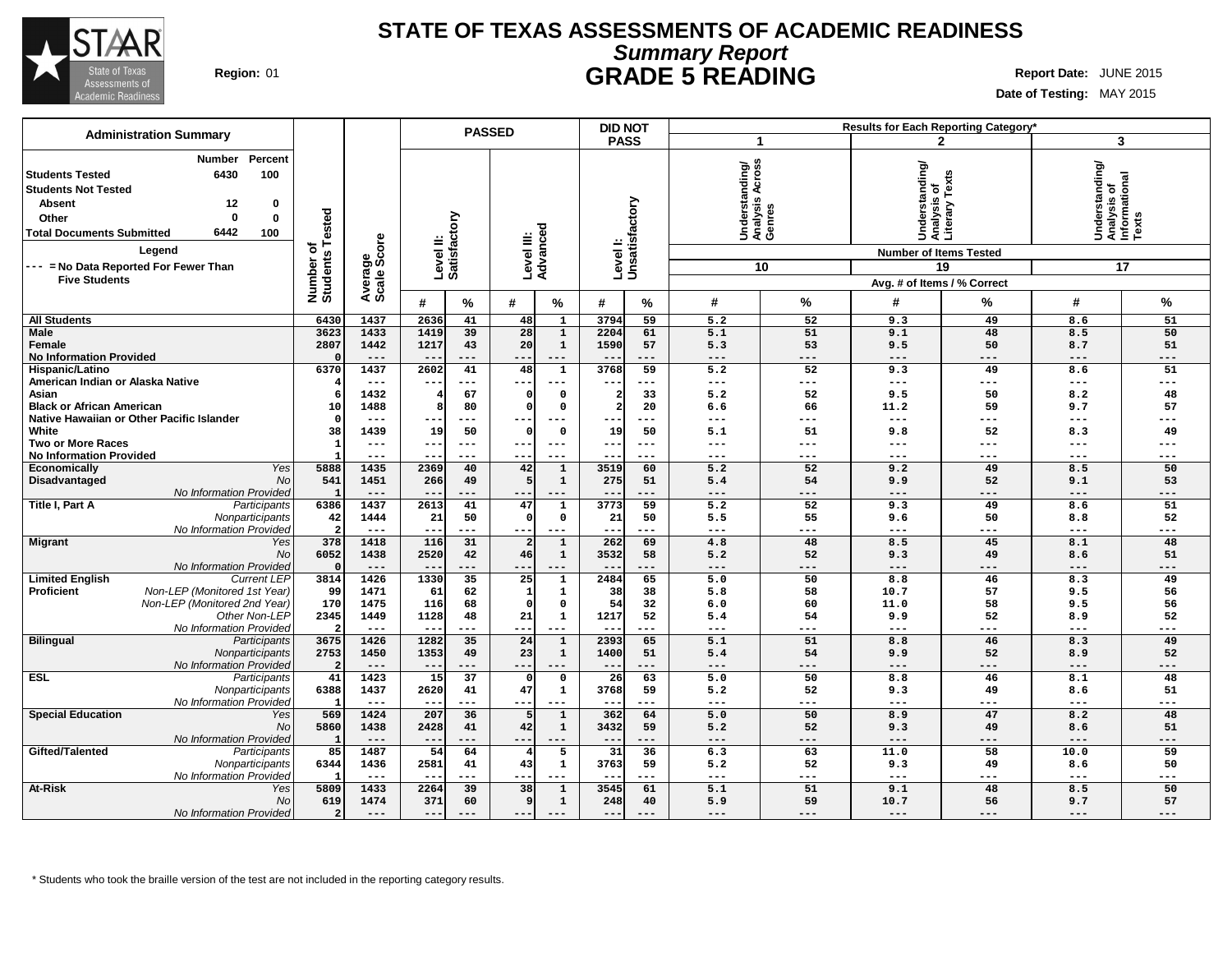

## **STATE OF TEXAS ASSESSMENTS OF ACADEMIC READINESS Summary Report Region:** 01 **GRADE 5 READING Report Date:** JUNE 2015

**Date of Testing:** MAY 2015

| <b>Administration Summary</b>                                                                                                                                                                                                                   |                  |                                                |                           | <b>PASSED</b>   |                        |                              |                         | <b>DID NOT</b><br>Results for Each Reporting Category* |                                                       |                     |                                                                                  |                             |                                                            |             |
|-------------------------------------------------------------------------------------------------------------------------------------------------------------------------------------------------------------------------------------------------|------------------|------------------------------------------------|---------------------------|-----------------|------------------------|------------------------------|-------------------------|--------------------------------------------------------|-------------------------------------------------------|---------------------|----------------------------------------------------------------------------------|-----------------------------|------------------------------------------------------------|-------------|
|                                                                                                                                                                                                                                                 |                  | <b>PASS</b><br>-1                              |                           |                 |                        |                              | $\mathbf{2}$            | 3                                                      |                                                       |                     |                                                                                  |                             |                                                            |             |
| Percent<br>Number<br>6430<br>100<br>  Students Tested<br><b>Students Not Tested</b><br><b>Absent</b><br>12<br>0<br>$\Omega$<br>0<br>Other<br>6442<br>100<br><b>Total Documents Submitted</b><br>Legend<br>--- = No Data Reported For Fewer Than | ested<br>৳       | Average<br>Scale Score<br>Number o<br>Students | Level II:<br>Satisfactory |                 | Level III:<br>Advanced |                              |                         | Levell:<br>Unsatisfactory                              | Across<br>Understanding/<br>Analysis Across<br>Genres | 10                  | Understanding/<br>Analysis of<br>Literary Texts<br><b>Number of Items Tested</b> | 19                          | Understanding/<br> Analysis of<br> Informational<br> Texts | 17          |
| <b>Five Students</b>                                                                                                                                                                                                                            |                  |                                                |                           |                 |                        |                              |                         |                                                        |                                                       |                     |                                                                                  |                             |                                                            |             |
|                                                                                                                                                                                                                                                 |                  |                                                |                           |                 |                        |                              |                         |                                                        |                                                       |                     |                                                                                  | Avg. # of Items / % Correct |                                                            |             |
|                                                                                                                                                                                                                                                 |                  |                                                | #                         | %               | #                      | %                            | #                       | %                                                      | #                                                     | $\%$                | #                                                                                | %                           | #                                                          | %           |
| <b>All Students</b>                                                                                                                                                                                                                             | 6430             | 1437                                           | 2636                      | 41              | 48                     | $\mathbf{1}$                 | 3794                    | 59                                                     | 5.2                                                   | 52                  | 9.3                                                                              | 49                          | 8.6                                                        | 51          |
| Male                                                                                                                                                                                                                                            | 3623             | 1433                                           | 1419                      | 39              | 28                     | $\mathbf 1$                  | 2204                    | 61                                                     | 5.1                                                   | 51                  | 9.1                                                                              | 48                          | 8.5                                                        | 50          |
| Female                                                                                                                                                                                                                                          | 2807             | 1442                                           | 1217                      | 43              | 20                     | $\mathbf 1$                  | 1590                    | 57                                                     | 5.3                                                   | 53                  | 9.5                                                                              | 50                          | 8.7                                                        | 51          |
| <b>No Information Provided</b>                                                                                                                                                                                                                  |                  | $---$                                          | $\overline{\phantom{m}}$  | ---             | ---                    | $---$                        | $- -$                   | ---                                                    | $---$                                                 | $---$               | $---$                                                                            | ---                         | $---$                                                      | $---$       |
| Hispanic/Latino                                                                                                                                                                                                                                 | 6370             | 1437                                           | 2602                      | 41              | 48                     | $\mathbf 1$                  | 3768                    | 59                                                     | $\overline{5.2}$                                      | 52                  | 9.3                                                                              | 49                          | 8.6                                                        | 51          |
| American Indian or Alaska Native                                                                                                                                                                                                                |                  | $---$                                          | $- -$                     | ---             | --                     | $\qquad \qquad -$            | $- -$                   | ---                                                    | $---$                                                 | $\qquad \qquad - -$ | $\qquad \qquad - -$                                                              | ---                         | $\qquad \qquad - -$                                        | ---         |
| Asian                                                                                                                                                                                                                                           |                  | 1432                                           |                           | 67              |                        | $\Omega$                     | $\overline{\mathbf{2}}$ | 33                                                     | 5.2                                                   | 52                  | 9.5                                                                              | 50                          | 8.2                                                        | 48          |
| <b>Black or African American</b>                                                                                                                                                                                                                | 10               | 1488                                           |                           | 80              | C                      | $\Omega$                     | $\overline{2}$          | 20                                                     | 6.6                                                   | 66                  | 11.2                                                                             | 59                          | 9.7                                                        | 57          |
| Native Hawaiian or Other Pacific Islander<br>White                                                                                                                                                                                              | $\Omega$         | $- - -$                                        |                           | ---             | C                      | $--$<br>$\Omega$             |                         | ---<br>50                                              | $---$                                                 | ---<br>51           | $---$                                                                            | ---<br>52                   | $- - -$                                                    | ---<br>49   |
| <b>Two or More Races</b>                                                                                                                                                                                                                        | 38               | 1439<br>$---$                                  | 19<br>$---$               | 50<br>$---$     | ---                    | $---$                        | 19<br>$---$             | $---$                                                  | 5.1<br>$---$                                          | ---                 | 9.8<br>$\qquad \qquad - -$                                                       | ---                         | 8.3<br>$---$                                               | ---         |
| <b>No Information Provided</b>                                                                                                                                                                                                                  |                  | ---                                            |                           | ---             | --                     | $---$                        |                         | ---                                                    | $---$                                                 | ---                 | $---$                                                                            | ---                         | $---$                                                      | ---         |
| Yes<br>Economically                                                                                                                                                                                                                             | 5888             | 1435                                           | 2369                      | 40              | 42                     | $\mathbf{1}$                 | 3519                    | 60                                                     | $\overline{5.2}$                                      | 52                  | 9.2                                                                              | 49                          | 8.5                                                        | 50          |
| Disadvantaged<br>No                                                                                                                                                                                                                             | 541              | 1451                                           | 266                       | 49              | 5                      | $\mathbf{1}$                 | 275                     | 51                                                     | 5.4                                                   | 54                  | 9.9                                                                              | 52<br>9.1                   |                                                            | 53          |
| No Information Provided                                                                                                                                                                                                                         | $\mathbf{1}$     | ---                                            |                           | ---             | --                     | $---$                        |                         | ---                                                    | ---                                                   | ---                 | $---$                                                                            | ---                         | $---$                                                      | ---         |
| Title I, Part A<br>Participants                                                                                                                                                                                                                 | 6386             | 1437                                           | 2613                      | 41              | 47                     | $\mathbf{1}$                 | 3773                    | 59                                                     | 5.2                                                   | 52                  | 9.3                                                                              | 49                          | 8.6                                                        | 51          |
| Nonparticipants                                                                                                                                                                                                                                 | 42               | 1444                                           | 21                        | 50              | C                      | 0                            | 21                      | 50                                                     | 5.5                                                   | 55                  | 9.6                                                                              | 50                          | 8.8                                                        | 52          |
| No Information Provided                                                                                                                                                                                                                         | $\overline{2}$   | $---$                                          | $- -$                     | ---             | $---$                  | $---$                        | $--$                    | ---                                                    | $---$                                                 | $---$               | $\qquad \qquad - -$                                                              | ---                         | $\qquad \qquad - -$                                        | ---         |
| Migrant<br>Yes                                                                                                                                                                                                                                  | 378              | 1418                                           | 116                       | 31              | $\overline{a}$         | $\mathbf 1$                  | 262                     | 69                                                     | 4.8                                                   | 48                  | 8.5                                                                              | 45                          | 8.1                                                        | 48          |
| <b>No</b>                                                                                                                                                                                                                                       | 6052<br>$\Omega$ | 1438<br>$---$                                  | 2520                      | 42<br>---       | 46<br>$- -$            | $\mathbf{1}$<br>$---$        | 3532                    | 58<br>---                                              | 5.2<br>$---$                                          | 52<br>$---$         | 9.3<br>$---$                                                                     | 49<br>---                   | 8.6<br>$---$                                               | 51<br>$---$ |
| No Information Provided<br><b>Limited English</b><br><b>Current LEP</b>                                                                                                                                                                         | 3814             | 1426                                           | $- -$<br>1330             | 35              | $\overline{25}$        | $\mathbf{1}$                 | $---$<br>2484           | 65                                                     | 5.0                                                   | 50                  | 8.8                                                                              | 46                          | 8.3                                                        | 49          |
| Non-LEP (Monitored 1st Year)<br><b>Proficient</b>                                                                                                                                                                                               | 99               | 1471                                           | 61                        | 62              | -1                     | $\mathbf{1}$                 | 38                      | 38                                                     | 5.8                                                   | 58                  | 10.7                                                                             | 57                          | 9.5                                                        | 56          |
| Non-LEP (Monitored 2nd Year)                                                                                                                                                                                                                    | 170              | 1475                                           | 116                       | 68              | C                      | $\Omega$                     | 54                      | 32                                                     | 6.0                                                   | 60                  | 11.0                                                                             | 58                          | 9.5                                                        | 56          |
| Other Non-LEP                                                                                                                                                                                                                                   | 2345             | 1449                                           | 1128                      | 48              | 21                     | $\mathbf 1$                  | 1217                    | 52                                                     | 5.4                                                   | 54                  | 9.9                                                                              | 52                          | 8.9                                                        | 52          |
| No Information Provided                                                                                                                                                                                                                         | 2                | $---$                                          | $- -$                     | ---             | $-$                    | $---$                        | $- -$                   | ---                                                    | $---$                                                 | $---$               | $---$                                                                            | ---                         | $---$                                                      | ---         |
| <b>Bilingual</b><br>Participants                                                                                                                                                                                                                | 3675             | 1426                                           | 1282                      | 35              | 24                     | $\overline{1}$               | 2393                    | 65                                                     | 5.1                                                   | 51                  | 8.8                                                                              | 46                          | 8.3                                                        | 49          |
| Nonparticipants                                                                                                                                                                                                                                 | 2753             | 1450                                           | 1353                      | 49              | 23                     | $\mathbf 1$                  | 1400                    | 51                                                     | 5.4                                                   | 54                  | 9.9                                                                              | 52                          | 8.9                                                        | 52          |
| No Information Provided                                                                                                                                                                                                                         | $\overline{2}$   | $---$                                          | $- -$                     | ---             | $- -$                  | $---$                        | $- -$                   | ---                                                    | $---$                                                 | $---$               | $---$                                                                            | ---                         | $---$                                                      | $---$       |
| <b>ESL</b><br>Participants                                                                                                                                                                                                                      | 41               | 1423                                           | 15                        | $\overline{37}$ | C                      | $\mathbf 0$                  | $\overline{26}$         | 63                                                     | 5.0                                                   | 50                  | 8.8                                                                              | 46                          | 8.1                                                        | 48          |
| Nonparticipants                                                                                                                                                                                                                                 | 6388             | 1437                                           | 2620                      | 41              | 47                     | 1                            | 3768                    | 59                                                     | 5.2                                                   | 52                  | 9.3                                                                              | 49                          | 8.6                                                        | 51          |
| No Information Provided                                                                                                                                                                                                                         |                  | $---$                                          | $- -$                     | ---             | $- -$                  | $---$                        | $- -$                   | ---                                                    | $\frac{1}{2}$                                         | $---$               | $\qquad \qquad - -$                                                              | ---                         | $---$                                                      | $---$       |
| <b>Special Education</b><br>Yes<br>N <sub>O</sub>                                                                                                                                                                                               | 569<br>5860      | 1424<br>1438                                   | 207<br>2428               | 36<br>41        | 42                     | $\mathbf{1}$<br>$\mathbf{1}$ | 362<br>3432             | 64<br>59                                               | 5.0<br>5.2                                            | 50<br>52            | 8.9<br>9.3                                                                       | 47<br>49                    | 8.2<br>8.6                                                 | 48<br>51    |
| No Information Provided                                                                                                                                                                                                                         | $\mathbf{1}$     | $---$                                          | $- -$                     | ---             | $---$                  | $---$                        | $- -$                   | ---                                                    | $---$                                                 | $---$               | $---$                                                                            | ---                         | $---$                                                      | $---$       |
| Gifted/Talented<br>Participants                                                                                                                                                                                                                 | 85               | 1487                                           | 54                        | 64              | 4                      | 5                            | 31                      | 36                                                     | 6.3                                                   | 63                  | 11.0                                                                             | 58                          | 10.0                                                       | 59          |
| Nonparticipants                                                                                                                                                                                                                                 | 6344             | 1436                                           | 2581                      | 41              | 43                     | $\mathbf{1}$                 | 3763                    | 59                                                     | 5.2                                                   | 52                  | 9.3                                                                              | 49                          | 8.6                                                        | 50          |
| No Information Provided                                                                                                                                                                                                                         |                  | $---$                                          | $- -$                     | ---             | --                     | $---$                        | $- -$                   | ---                                                    | $---$                                                 | ---                 | $---$                                                                            | ---                         | $\qquad \qquad - -$                                        | $---$       |
| At-Risk<br>Yes                                                                                                                                                                                                                                  | 5809             | 1433                                           | 2264                      | 39              | 38                     | $\mathbf{1}$                 | 3545                    | 61                                                     | 5.1                                                   | 51                  | 9.1                                                                              | 48                          | 8.5                                                        | 50          |
| <b>No</b>                                                                                                                                                                                                                                       | 619              | 1474                                           | 371                       | 60              | 9                      | $\mathbf{1}$                 | 248                     | 40                                                     | 5.9                                                   | 59                  | 10.7                                                                             | 56                          | 9.7                                                        | 57          |
| No Information Provided                                                                                                                                                                                                                         | $\overline{a}$   | ---                                            | $- -$                     |                 |                        |                              | $- -$                   | ---                                                    | $---$                                                 | ---                 | $---$                                                                            | ---                         | $---$                                                      | $---$       |

\* Students who took the braille version of the test are not included in the reporting category results.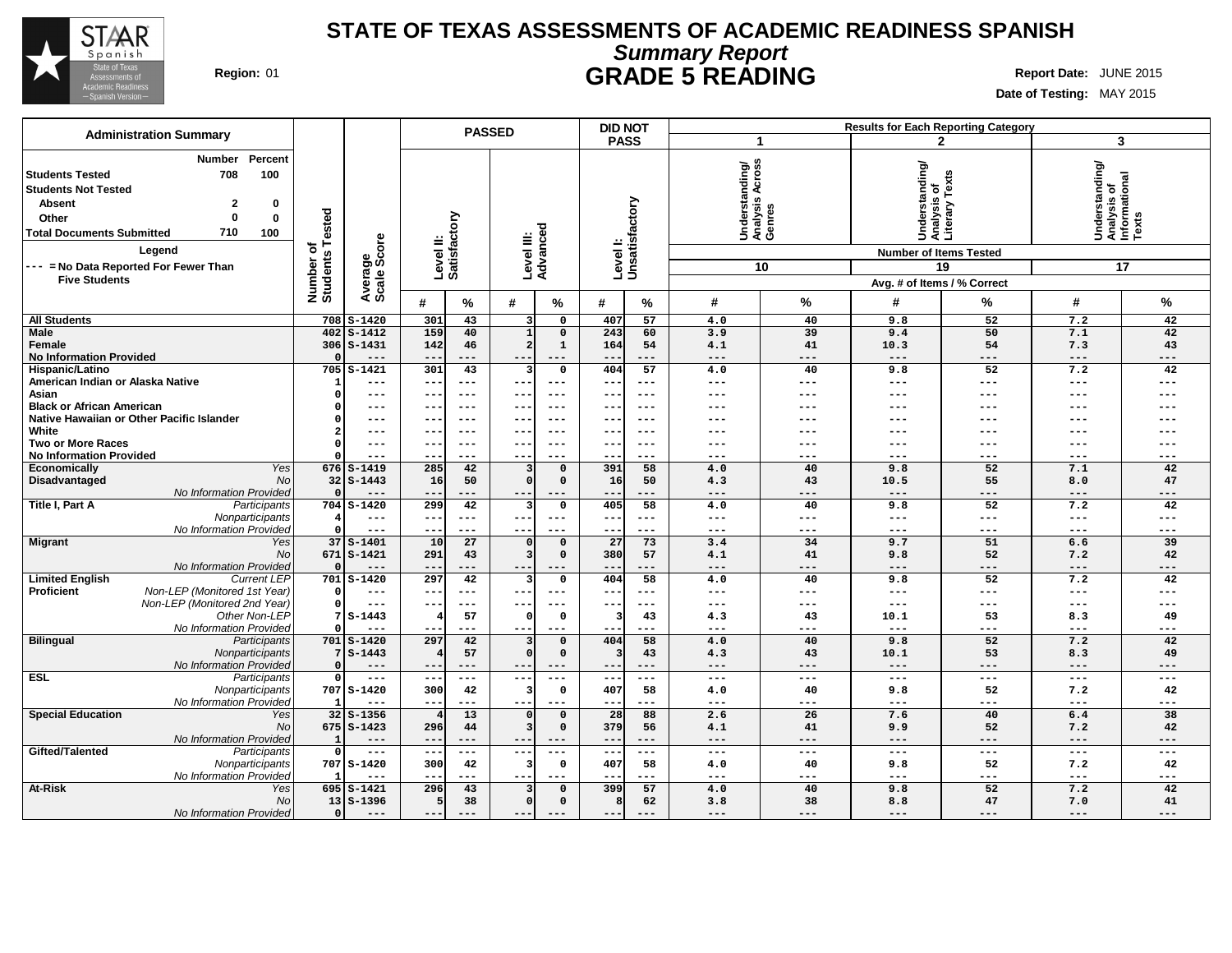

# **STATE OF TEXAS ASSESSMENTS OF ACADEMIC READINESS SPANISH Summary Report Region:** 01 **GRADE 5 READING Report Date:** JUNE 2015

**Date of Testing:** MAY 2015

|                                                                                                                                                                                                                 |                              |                                   | <b>DID NOT</b><br><b>PASSED</b>                     |                              |                            | <b>Results for Each Reporting Category</b> |              |                                             |                            |                                                 |                               |                                                               |              |                           |
|-----------------------------------------------------------------------------------------------------------------------------------------------------------------------------------------------------------------|------------------------------|-----------------------------------|-----------------------------------------------------|------------------------------|----------------------------|--------------------------------------------|--------------|---------------------------------------------|----------------------------|-------------------------------------------------|-------------------------------|---------------------------------------------------------------|--------------|---------------------------|
| <b>Administration Summary</b>                                                                                                                                                                                   |                              |                                   |                                                     |                              |                            |                                            | <b>PASS</b>  |                                             | $\mathbf 1$                |                                                 |                               | $\mathbf{2}$                                                  | 3            |                           |
| Percent<br><b>Number</b><br>100<br><b>Students Tested</b><br>708<br><b>Students Not Tested</b><br><b>Absent</b><br>2<br>0<br>$\Omega$<br>$\mathbf 0$<br>Other<br>710<br><b>Total Documents Submitted</b><br>100 | Number of<br>Students Tested |                                   | Satisfactory<br>Average<br>Scale Score<br>Level II: | Level III:<br>Advanced       |                            | Level I:<br>Unsatisfactory                 |              | Understanding/<br>Analysis Across<br>Genres |                            | Understanding/<br>Analysis of<br>Literary Texts |                               | Understanding/<br>Analysis of<br>Informational<br>Texts       |              |                           |
| Legend                                                                                                                                                                                                          |                              |                                   |                                                     |                              |                            |                                            |              |                                             |                            |                                                 | <b>Number of Items Tested</b> |                                                               |              |                           |
| --- = No Data Reported For Fewer Than                                                                                                                                                                           |                              |                                   |                                                     |                              |                            |                                            |              |                                             |                            | 10                                              |                               | 19                                                            |              | 17                        |
| <b>Five Students</b>                                                                                                                                                                                            |                              |                                   |                                                     |                              |                            |                                            |              |                                             |                            |                                                 | Avg. # of Items / % Correct   |                                                               |              |                           |
|                                                                                                                                                                                                                 |                              |                                   | #                                                   | %                            | #                          | %                                          | #            | %                                           | #                          | $\%$                                            | #                             | $\%$                                                          | #            | %                         |
| <b>All Students</b>                                                                                                                                                                                             | 708                          | $S-1420$                          | 301                                                 | 43                           |                            | 0                                          | 407          | 57                                          | 4.0                        | 40                                              | 9.8                           | 52                                                            | 7.2          | 42                        |
| <b>Male</b>                                                                                                                                                                                                     | 402                          | $S-1412$                          | 159                                                 | 40                           |                            | $\mathbf 0$                                | 243          | 60                                          | 3.9                        | 39                                              | 9.4                           | 50                                                            | 7.1          | 42                        |
| Female                                                                                                                                                                                                          | $\Omega$                     | 306 S-1431                        | 142                                                 | 46                           |                            | $\mathbf{1}$                               | 164          | 54                                          | 4.1                        | 41                                              | 10.3                          | 54                                                            | 7.3          | 43                        |
| <b>No Information Provided</b><br>Hispanic/Latino                                                                                                                                                               | 705                          | $---$<br>$S-1421$                 | $- -$<br>301                                        | $---$<br>43                  | $\qquad \qquad -$          | $---$<br>0                                 | --<br>404    | $---$<br>57                                 | $---$<br>4.0               | ---<br>40                                       | $---$<br>9.8                  | $\qquad \qquad - -$<br>52                                     | $---$<br>7.2 | ---<br>42                 |
| American Indian or Alaska Native                                                                                                                                                                                | -1                           | $---$                             | ---                                                 | $---$                        | $--$                       | $---$                                      | --           | $- - -$                                     | ---                        | ---                                             | $- - -$                       | ---                                                           | $---$        | $---$                     |
| Asian                                                                                                                                                                                                           | $\Omega$                     | $---$                             | ---                                                 | $\qquad \qquad - -$          | $- -$                      | $---$                                      | --           | $\qquad \qquad - -$                         | $---$                      | ---                                             | $---$                         | $---$                                                         | ---          | $---$                     |
| <b>Black or African American</b>                                                                                                                                                                                | $\Omega$                     | $---$                             | ---                                                 | $---$                        | $- -$                      | $- - -$                                    | --           | $---$                                       | ---                        | ---                                             | ---                           | ---                                                           | ---          |                           |
| Native Hawaiian or Other Pacific Islander                                                                                                                                                                       | $\Omega$                     | $---$                             | --                                                  | $---$                        | $- -$                      | $- - -$                                    | --           | $- - -$                                     |                            | ---                                             |                               |                                                               | ---          |                           |
| White<br><b>Two or More Races</b>                                                                                                                                                                               |                              | $---$<br>$---$                    | --<br>---                                           | $---$<br>$---$               | $\qquad \qquad -$<br>$---$ | ---<br>$- - -$                             |              | $---$<br>$---$                              | ---<br>$- - -$             | ---<br>---                                      | ---<br>---                    | ---<br>---                                                    | ---<br>---   |                           |
| <b>No Information Provided</b>                                                                                                                                                                                  |                              | $---$                             | --                                                  | $---$                        | $---$                      | ---                                        | --           | $---$                                       | $---$                      | ---                                             | ---                           | $---$                                                         | ---          | ---                       |
| Economically<br>Yes                                                                                                                                                                                             |                              | 676 S-1419                        | 285                                                 | 42                           |                            | $\mathbf 0$                                | 391          | 58                                          | 4.0                        | 40                                              | 9.8                           | 52                                                            | 7.1          | 42                        |
| Disadvantaged<br>No                                                                                                                                                                                             |                              | $32 S-1443$                       | 16                                                  | 50                           | $\Omega$                   | $\mathbf 0$                                | 16           | 50                                          | 4.3                        | 43                                              | 10.5                          | 55                                                            | 8.0          | 47                        |
| No Information Provided                                                                                                                                                                                         | $\Omega$                     |                                   | --                                                  | ---                          | $--$                       | $---$                                      | $- -$        | $---$                                       | $---$                      | ---                                             | $---$                         | ---                                                           | ---          | ---                       |
| Title I, Part A<br>Participants                                                                                                                                                                                 |                              | 704 S-1420                        | 299                                                 | 42                           | 3                          | 0                                          | 405          | 58                                          | 4.0                        | 40                                              | 9.8                           | 52                                                            | 7.2          | 42                        |
| Nonparticipants<br>No Information Provided                                                                                                                                                                      | $\Omega$                     | $\qquad \qquad - -$<br>$- - -$    | $---$<br>---                                        | $---$<br>$- - -$             | $--$<br>$- -$              | $- - -$<br>$- - -$                         | $- -$<br>--- | $---$<br>$\frac{1}{2}$                      | $---$<br>$- - -$           | $---$<br>---                                    | $---$<br>$- - -$              | $---$<br>$- - -$                                              | ---<br>---   | $---$<br>$- - -$          |
| <b>Migrant</b><br>Yes                                                                                                                                                                                           |                              | $37S - 1401$                      | 10                                                  | 27                           | $\Omega$                   | $\mathbf 0$                                | 27           | 73                                          | 3.4                        | 34                                              | 9.7                           | 51                                                            | 6.6          | 39                        |
| No                                                                                                                                                                                                              | 671                          | $S-1421$                          | 291                                                 | 43                           |                            | $\mathbf 0$                                | 380          | 57                                          | 4.1                        | 41                                              | 9.8                           | 52                                                            | 7.2          | 42                        |
| No Information Provided                                                                                                                                                                                         | $\Omega$                     | $---$                             | $\qquad \qquad -$                                   | $---$                        | $--$                       | $---$                                      | --           | ---                                         | $---$                      | ---                                             | $---$                         | $---$                                                         | ---          | ---                       |
| <b>Limited English</b><br><b>Current LEP</b>                                                                                                                                                                    |                              | 701 S-1420                        | 297                                                 | 42                           | 3                          | 0                                          | 404          | 58                                          | 4.0                        | 40                                              | 9.8                           | 52                                                            | 7.2          | 42                        |
| Non-LEP (Monitored 1st Year)<br><b>Proficient</b><br>Non-LEP (Monitored 2nd Year)                                                                                                                               | $\Omega$                     | $---$<br>$---$                    | $---$<br>--                                         | $\qquad \qquad - -$<br>$---$ | $---$<br>$-$               | $---$                                      | $- -$        | $\qquad \qquad - -$<br>$---$                | $---$<br>$---$             | ---<br>---                                      | $---$<br>$---$                | $---$<br>$---$                                                | $---$<br>--- | $---$<br>---              |
| Other Non-LEP                                                                                                                                                                                                   |                              | $S-1443$                          | 4                                                   | 57                           | - 0                        | 0                                          | 3            | 43                                          | 4.3                        | 43                                              | 10.1                          | 53                                                            | 8.3          | 49                        |
| No Information Provided                                                                                                                                                                                         |                              | $- - -$                           | $- -$                                               | $---$                        | $- - -$                    | $- - -$                                    | ---          | $---$                                       | ---                        | ---                                             | $---$                         | $---$                                                         | ---          | ---                       |
| <b>Bilingual</b><br>Participants                                                                                                                                                                                | 701                          | $S - 1420$                        | 297                                                 | 42                           |                            | $\mathbf 0$                                | 404          | 58                                          | 4.0                        | 40                                              | 9.8                           | 52                                                            | 7.2          | 42                        |
| Nonparticipants                                                                                                                                                                                                 |                              | $7S-1443$                         |                                                     | 57                           |                            | $\mathbf 0$                                | з            | 43                                          | 4.3                        | 43                                              | 10.1                          | 53                                                            | 8.3          | 49                        |
| No Information Provided<br><b>ESL</b>                                                                                                                                                                           | $\Omega$<br>$\Omega$         | $---$<br>$\frac{1}{2}$            | --<br>$- -$                                         | $---$<br>$\frac{1}{2}$       | $-$<br>$---$               | $--$<br>$---$                              | $- -$        | $---$<br>$\frac{1}{2}$                      | $---$<br>$---$             | ---<br>$---$                                    | ---<br>$\frac{1}{2}$          | ---<br>$\frac{1}{2}$                                          | ---<br>$---$ | ---<br>$---$              |
| Participants<br>Nonparticipants                                                                                                                                                                                 |                              | 707 S-1420                        | 300                                                 | 42                           |                            | 0                                          | 407          | 58                                          | 4.0                        | 40                                              | 9.8                           | 52                                                            | 7.2          | 42                        |
| No Information Provided                                                                                                                                                                                         |                              | $- - -$                           | --                                                  | ---                          | $- -$                      | $--$                                       | --           | ---                                         | $---$                      | ---                                             | $---$                         | $---$                                                         | ---          | ---                       |
| <b>Special Education</b><br>Yes                                                                                                                                                                                 |                              | $32 S-1356$                       |                                                     | 13                           |                            | $\Omega$                                   | 28           | 88                                          | 2.6                        | 26                                              | 7.6                           | 40                                                            | 6.4          | 38                        |
| No                                                                                                                                                                                                              |                              | $675$ S-1423                      | 296                                                 | 44                           |                            | 0                                          | 379          | 56                                          | 4.1                        | 41                                              | 9.9                           | 52                                                            | 7.2          | 42                        |
| No Information Provided                                                                                                                                                                                         | -1                           | $---$                             | $\qquad \qquad -$                                   | $---$                        | $- -$                      | $---$                                      | $- -$        | $---$                                       | $---$                      | ---                                             | $---$                         | $---$                                                         | ---          | $- - -$                   |
| Gifted/Talented<br>Participants<br>Nonparticipants                                                                                                                                                              | $\circ$                      | $\qquad \qquad - -$<br>707 S-1420 | $--$<br>300                                         | $\sim$ $\sim$ $\sim$<br>42   | $--$                       | $---$<br>0                                 | ---<br>407   | $\sim$ $\sim$ $\sim$<br>58                  | $\qquad \qquad - -$<br>4.0 | ---<br>40                                       | $\qquad \qquad - -$<br>9.8    | $\hspace{0.05cm} - \hspace{0.05cm} - \hspace{0.05cm} -$<br>52 | $---$<br>7.2 | $\qquad \qquad - -$<br>42 |
| No Information Provided                                                                                                                                                                                         |                              | $---$                             | $--$                                                | $---$                        | $--$                       | $-- -$                                     | $- -$        | $---$                                       | $---$                      | ---                                             | $---$                         | $\frac{1}{2}$                                                 | $---$        | $---$                     |
| <b>At-Risk</b><br>Yes                                                                                                                                                                                           |                              | $695$ $S-1421$                    | 296                                                 | 43                           |                            | $\mathbf 0$                                | 399          | 57                                          | 4.0                        | 40                                              | 9.8                           | 52                                                            | 7.2          | 42                        |
| <b>No</b>                                                                                                                                                                                                       |                              | $13   S - 1396$                   | 5                                                   | 38                           |                            | $\mathbf 0$                                | 8            | 62                                          | 3.8                        | 38                                              | 8.8                           | 47                                                            | 7.0          | 41                        |
| <b>No Information Provided</b>                                                                                                                                                                                  | $\Omega$                     | $---$                             | ---                                                 |                              | $- -$                      | $---$                                      | $- -$        | $---$                                       | $---$                      | ---                                             | $---$                         | $---$                                                         | ---          | ---                       |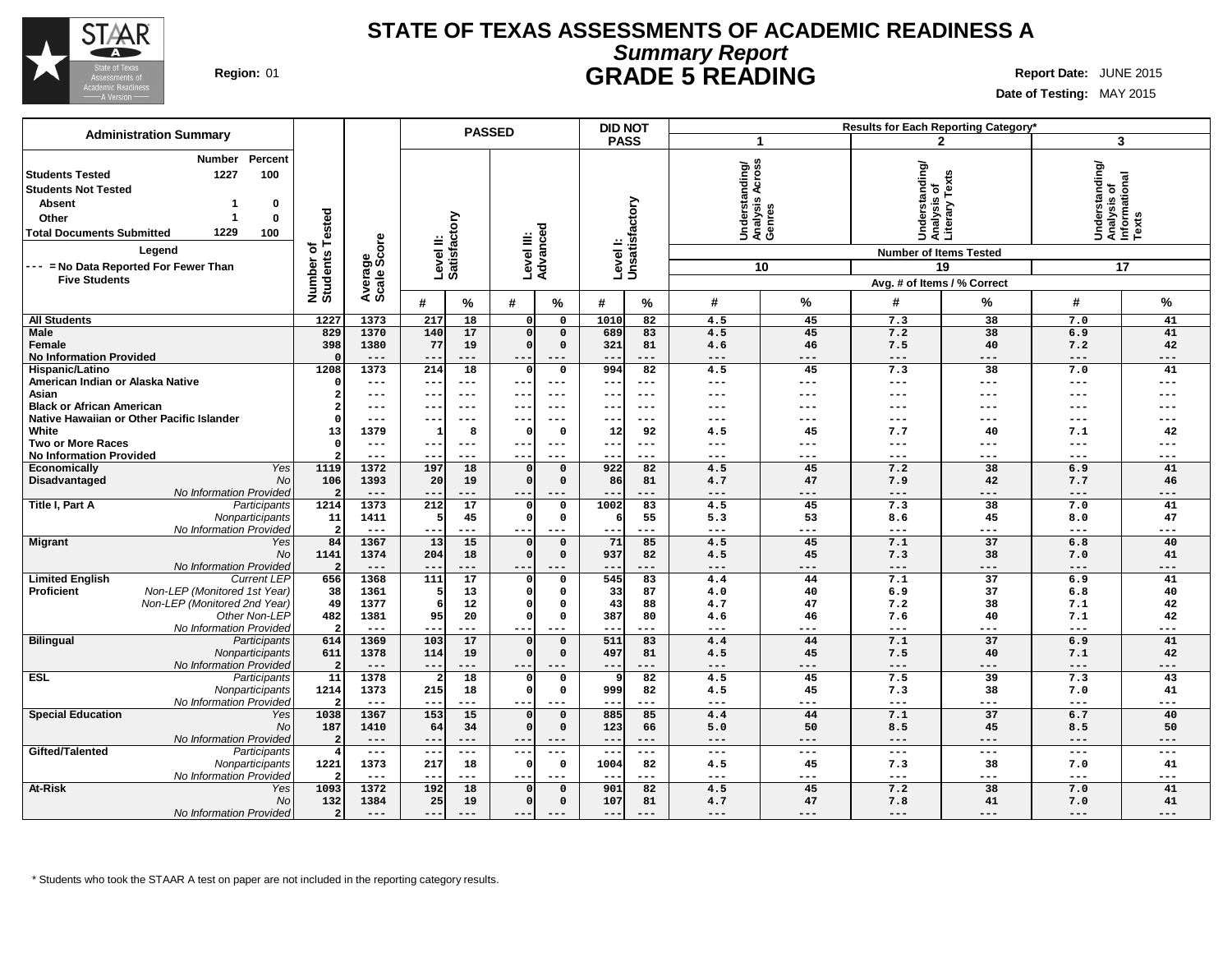

## **STATE OF TEXAS ASSESSMENTS OF ACADEMIC READINESS A Summary Report Region:** 01 **GRADE 5 READING Report Date:** JUNE 2015

T.

**Date of Testing:** MAY 2015

|                                                                                                                                                                                 |                         |                        |                          |                                                     | <b>PASSED</b>        |                                    | <b>DID NOT</b>            |                                             |                            |                                                      | Results for Each Reporting Category* |                                                            |              |             |
|---------------------------------------------------------------------------------------------------------------------------------------------------------------------------------|-------------------------|------------------------|--------------------------|-----------------------------------------------------|----------------------|------------------------------------|---------------------------|---------------------------------------------|----------------------------|------------------------------------------------------|--------------------------------------|------------------------------------------------------------|--------------|-------------|
| <b>Administration Summary</b>                                                                                                                                                   |                         |                        |                          |                                                     |                      |                                    | <b>PASS</b>               |                                             |                            | $\mathbf{1}$                                         |                                      | 2                                                          | 3            |             |
| Percent<br>Number<br>1227<br>100<br><b>Students Tested</b><br><b>Students Not Tested</b><br><b>Absent</b><br>0<br>0<br>Other<br>1229<br><b>Total Documents Submitted</b><br>100 | Tested                  |                        |                          | Level II:<br>Satisfactory<br>Advanced<br>Level III: |                      |                                    | Levell:<br>Unsatisfactory | Understanding/<br>Analysis Across<br>Genres |                            | <b>Understanding/</b><br>ō<br>Analysis<br>Literary T | Texts<br>Уle                         | Understanding/<br> Analysis of<br> Informational<br> Texts |              |             |
| Legend                                                                                                                                                                          | đ                       | Average<br>Scale Score |                          |                                                     |                      |                                    |                           |                                             |                            |                                                      | <b>Number of Items Tested</b>        |                                                            |              |             |
| --- = No Data Reported For Fewer Than                                                                                                                                           |                         |                        |                          |                                                     |                      |                                    |                           |                                             |                            | 10                                                   |                                      | 19                                                         | 17           |             |
| <b>Five Students</b>                                                                                                                                                            | Number o<br>Students    |                        |                          |                                                     |                      |                                    |                           |                                             |                            |                                                      | Avg. # of Items / % Correct          |                                                            |              |             |
|                                                                                                                                                                                 |                         |                        | #                        | ℅                                                   | #                    | %                                  | #                         | %                                           | #                          | %                                                    | #                                    | %                                                          | #            | ℅           |
| <b>All Students</b>                                                                                                                                                             | 1227                    | 1373                   | 217                      | 18                                                  | $\Omega$             | $\mathbf 0$                        | 1010                      | 82                                          | 4.5                        | 45                                                   | 7.3                                  | 38                                                         | 7.0          | 41          |
| <b>Male</b>                                                                                                                                                                     | 829                     | 1370                   | 140                      | 17                                                  | $\Omega$             | $\mathbf 0$                        | 689                       | 83                                          | 4.5                        | 45                                                   | 7.2                                  | 38                                                         | 6.9          | 41          |
| Female                                                                                                                                                                          | 398                     | 1380                   | 77                       | 19                                                  | $\Omega$             | $\mathsf{o}\,$                     | 321                       | 81                                          | 4.6                        | 46                                                   | 7.5                                  | 40                                                         | 7.2          | 42          |
| <b>No Information Provided</b>                                                                                                                                                  |                         | $---$                  | $- -$                    | ---                                                 | $- -$                | $---$                              | $- -$                     | ---                                         | $\qquad \qquad - -$        | $---$                                                | $---$                                | $---$                                                      | $---$        | ---         |
| Hispanic/Latino<br>American Indian or Alaska Native                                                                                                                             | 1208<br>$\Omega$        | 1373<br>$---$          | 214<br>$- -$             | 18<br>$---$                                         | $\Omega$<br>$- -$    | $\mathbf 0$<br>$\qquad \qquad - -$ | 994<br>$- -$              | 82<br>$- - -$                               | 4.5<br>$---$               | 45<br>$---$                                          | 7.3<br>$---$                         | 38<br>$---$                                                | 7.0<br>$---$ | 41<br>$---$ |
| Asian                                                                                                                                                                           |                         | $---$                  | $--$                     | $--$                                                | $- -$                | $---$                              | $- -$                     | $---$                                       | $---$                      | $---$                                                | ---                                  | ---                                                        | $---$        | ---         |
| <b>Black or African American</b>                                                                                                                                                |                         | $---$                  | $- -$                    | $---$                                               | --                   | $- -$                              | $- -$                     | $- - -$                                     | $---$                      | ---                                                  | ---                                  | ---                                                        | $---$        |             |
| Native Hawaiian or Other Pacific Islander                                                                                                                                       | C                       | $---$                  | $- -$                    | $---$                                               | --                   | $- - -$                            | $- -$                     | $- - -$                                     | $---$                      | $---$                                                | ---                                  | ---                                                        | $---$        | ---         |
| White                                                                                                                                                                           | 13                      | 1379                   |                          | 8                                                   | - 0                  | 0                                  | 12                        | 92                                          | 4.5                        | 45                                                   | 7.7                                  | 40                                                         | 7.1          | 42          |
| <b>Two or More Races</b>                                                                                                                                                        | $\Omega$                | $---$                  | $- -$                    | $--$                                                | $- -$                | $---$                              | $- -$                     | $---$                                       | $---$                      | $---$                                                | $---$<br>$---$                       |                                                            | $---$        | ---         |
| <b>No Information Provided</b>                                                                                                                                                  |                         | $---$                  |                          | ---                                                 | $- -$                | $---$                              |                           | $- - -$                                     | $---$                      | $---$                                                | $---$<br>---<br>$---$<br>7.2<br>38   |                                                            |              | ---         |
| Yes<br>Economically<br>Disadvantaged<br>N <sub>O</sub>                                                                                                                          | 1119<br>106             | 1372<br>1393           | 197<br>20                | 18<br>19                                            | $\Omega$<br>$\Omega$ | $\mathbf 0$<br>$\mathbf 0$         | 922<br>86                 | 82<br>81                                    | 4.5<br>4.7                 | 45<br>47                                             | 7.9                                  | 42                                                         | 6.9<br>7.7   | 41<br>46    |
| No Information Provided                                                                                                                                                         | 2                       | $---$                  | $\qquad \qquad -$        | ---                                                 | $- -$                | $- - -$                            |                           | ---                                         | $---$                      | $---$                                                | $---$                                | ---                                                        | $---$        | ---         |
| Title I, Part A<br>Participants                                                                                                                                                 | 1214                    | 1373                   | 212                      | 17                                                  | $\Omega$             | $\Omega$                           | 1002                      | 83                                          | 4.5                        | 45                                                   | 7.3                                  | 38                                                         | 7.0          | 41          |
| Nonparticipants                                                                                                                                                                 | 11                      | 1411                   | 5                        | 45                                                  | $\Omega$             | $\mathsf{o}\,$                     | 6                         | 55                                          | 5.3                        | 53                                                   | 8.6                                  | 45                                                         | 8.0          | 47          |
| No Information Provided                                                                                                                                                         | $\overline{2}$          | $---$                  | $- -$                    | ---                                                 | --                   | $---$                              | $- -$                     | ---                                         | $---$                      | $---$                                                | $---$                                | ---                                                        | $---$        | ---         |
| <b>Migrant</b><br>Yes<br>No                                                                                                                                                     | 84<br>1141              | 1367<br>1374           | 13<br>204                | 15<br>18                                            | $\Omega$<br>$\Omega$ | $\mathbf 0$<br>$\mathbf 0$         | 71<br>937                 | 85<br>82                                    | 4.5<br>4.5                 | 45<br>45                                             | 7.1<br>7.3                           | 37<br>38                                                   | 6.8<br>7.0   | 40<br>41    |
| No Information Provided                                                                                                                                                         | $\overline{\mathbf{2}}$ | $---$                  | $--$                     | ---                                                 | $\qquad \qquad -$    |                                    | --                        | ---                                         | $---$                      | $---$                                                | $---$                                | ---                                                        | $---$        | ---         |
| <b>Current LEP</b><br><b>Limited English</b>                                                                                                                                    | 656                     | 1368                   | 111                      | 17                                                  |                      | $\Omega$                           | 545                       | 83                                          | 4.4                        | 44                                                   | 7.1                                  | $\overline{37}$                                            | 6.9          | 41          |
| Non-LEP (Monitored 1st Year)<br><b>Proficient</b>                                                                                                                               | 38                      | 1361                   |                          | 13                                                  | n                    | $\Omega$                           | 33                        | 87                                          | 4.0                        | 40                                                   | 6.9                                  | 37                                                         | 6.8          | 40          |
| Non-LEP (Monitored 2nd Year)                                                                                                                                                    | 49                      | 1377                   |                          | 12                                                  |                      | $\Omega$                           | 43                        | 88                                          | 4.7                        | 47                                                   | 7.2                                  | 38                                                         | 7.1          | 42          |
| Other Non-LEP                                                                                                                                                                   | 482                     | 1381                   | 95                       | 20                                                  |                      | $\mathbf 0$                        | 387                       | 80                                          | 4.6                        | 46                                                   | 7.6                                  | 40                                                         | 7.1          | 42          |
| No Information Provided<br><b>Bilingual</b><br>Participants                                                                                                                     | -2<br>614               | $---$<br>1369          | $- -$<br>103             | ---<br>17                                           | $- -$                | $---$<br>$\mathbf 0$               | $-$<br>511                | ---<br>83                                   | $\qquad \qquad - -$<br>4.4 | $---$<br>44                                          | $---$<br>7.1                         | ---<br>37                                                  | $---$<br>6.9 | ---<br>41   |
| Nonparticipants                                                                                                                                                                 | 611                     | 1378                   | 114                      | 19                                                  | $\Omega$             | $\mathbf 0$                        | 497                       | 81                                          | 4.5                        | 45                                                   | 7.5                                  | 40                                                         | 7.1          | 42          |
| No Information Provided                                                                                                                                                         | 2                       | $---$                  | $- -$                    | ---                                                 | $- -$                | $---$                              | $- -$                     | $---$                                       | $---$                      | $---$                                                | $---$                                | $---$                                                      | $---$        | $---$       |
| <b>ESL</b><br>Participants                                                                                                                                                      | 11                      | 1378                   |                          | $\overline{18}$                                     |                      | $\mathbf 0$                        | 9                         | 82                                          | 4.5                        | 45                                                   | 7.5                                  | 39                                                         | 7.3          | 43          |
| Nonparticipants                                                                                                                                                                 | 1214                    | 1373                   | 215                      | 18                                                  | O                    | $\mathsf{o}\,$                     | 999                       | 82                                          | 4.5                        | 45                                                   | 7.3                                  | 38                                                         | 7.0          | 41          |
| No Information Provided                                                                                                                                                         |                         | $---$                  | $- -$                    | ---                                                 | $- -$                | $---$                              |                           | ---                                         | $\qquad \qquad - -$        | $---$                                                | $\qquad \qquad - -$                  | $---$                                                      | $---$        | ---         |
| <b>Special Education</b><br>Yes<br>N <sub>O</sub>                                                                                                                               | 1038<br>187             | 1367<br>1410           | 153<br>64                | 15<br>34                                            | $\Omega$<br>$\Omega$ | $\mathbf 0$<br>$\mathbf 0$         | 885<br>123                | 85<br>66                                    | 4.4<br>5.0                 | 44<br>50                                             | 7.1<br>8.5                           | 37<br>45                                                   | 6.7<br>8.5   | 40<br>50    |
| No Information Provided                                                                                                                                                         | 2                       | $---$                  | $- -$                    | ---                                                 | $- -$                | $---$                              | $--$                      | ---                                         | $---$                      | ---                                                  | $---$                                | ---                                                        | $---$        | ---         |
| Gifted/Talented<br>Participants                                                                                                                                                 |                         | $---$                  | $\overline{\phantom{m}}$ | ---                                                 | $- -$                | $---$                              | $\qquad \qquad -$         | ---                                         | $\qquad \qquad - -$        | $---$                                                | $---$                                | $---$                                                      | $---$        | ---         |
| Nonparticipants                                                                                                                                                                 | 1221                    | 1373                   | 217                      | 18                                                  |                      | $\mathbf 0$                        | 1004                      | 82                                          | 4.5                        | 45                                                   | 7.3                                  | 38                                                         | 7.0          | 41          |
| No Information Provided                                                                                                                                                         |                         | $---$                  | $-$                      | ---                                                 | $- -$                | $- - -$                            |                           | ---                                         | $---$                      | $---$                                                | $---$                                | $---$                                                      | $---$        | ---         |
| <b>At-Risk</b><br>Yes                                                                                                                                                           | 1093                    | 1372                   | 192                      | 18                                                  | $\Omega$             | $\mathbf 0$                        | 901                       | 82                                          | 4.5                        | 45                                                   | 7.2                                  | 38                                                         | 7.0          | 41          |
| <b>No</b>                                                                                                                                                                       | 132                     | 1384                   | 25                       | 19                                                  | $\Omega$             | $\Omega$                           | 107                       | 81                                          | 4.7                        | 47                                                   | 7.8                                  | 41                                                         | 7.0          | 41          |
| No Information Provided                                                                                                                                                         | $\overline{2}$          | $---$                  | $---$                    | ---                                                 | $- -$                |                                    | $- -$                     | ---                                         | $---$                      | $---$                                                | $---$                                | $---$                                                      | $---$        | $---$       |

\* Students who took the STAAR A test on paper are not included in the reporting category results.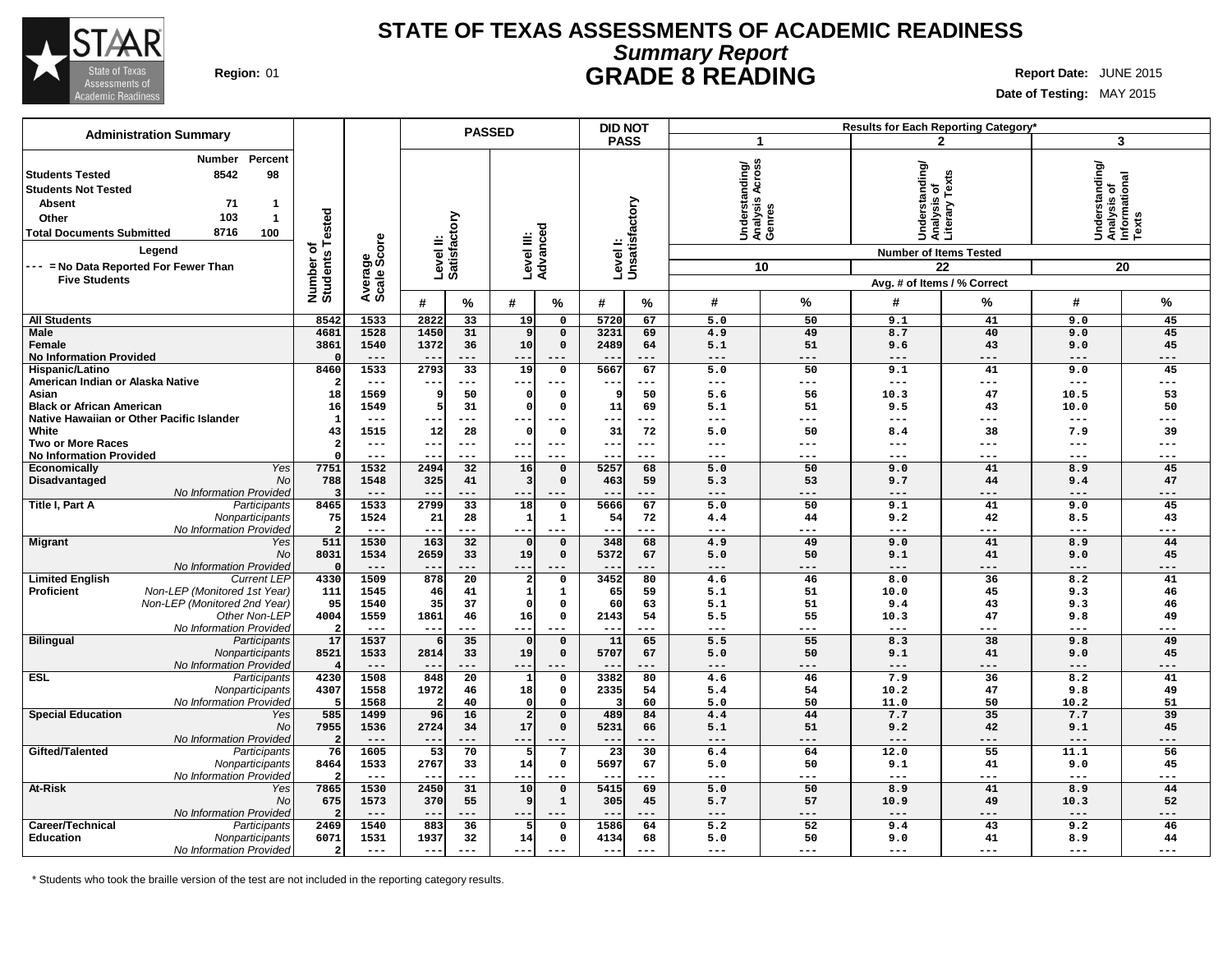

## **STATE OF TEXAS ASSESSMENTS OF ACADEMIC READINESS Summary Report Region:** 01 **GRADE 8 READING Report Date:** JUNE 2015

**Date of Testing:** MAY 2015

| <b>Administration Summary</b>                                                                                                                                                                                        |                         |                                                                                  | <b>PASSED</b>                   |                | <b>DID NOT</b>             |                 |                           |                                                       |                     | Results for Each Reporting Category*                                             |                        |                                                            |                 |
|----------------------------------------------------------------------------------------------------------------------------------------------------------------------------------------------------------------------|-------------------------|----------------------------------------------------------------------------------|---------------------------------|----------------|----------------------------|-----------------|---------------------------|-------------------------------------------------------|---------------------|----------------------------------------------------------------------------------|------------------------|------------------------------------------------------------|-----------------|
|                                                                                                                                                                                                                      |                         |                                                                                  |                                 |                |                            | <b>PASS</b>     |                           | 1                                                     |                     |                                                                                  | $\mathbf{2}$           | 3                                                          |                 |
| Percent<br><b>Number</b><br>8542<br>98<br>l Students Tested<br><b>Students Not Tested</b><br><b>Absent</b><br>71<br>1<br>103<br>Other<br>$\overline{1}$<br>8716<br>100<br><b>Total Documents Submitted</b><br>Legend | Tested<br>৳             | tory<br>Level II:<br>Satisfact<br>Average<br>Scale Score<br>Number o<br>Students |                                 |                | Level III:<br>Advanced     |                 | Levell:<br>Unsatisfactory | Across<br>Understanding/<br>Analysis Across<br>Genres |                     | Understanding/<br>Analysis of<br>Literary Texts<br><b>Number of Items Tested</b> |                        | Understanding/<br> Analysis of<br> Informational<br> Texts |                 |
| --- = No Data Reported For Fewer Than                                                                                                                                                                                |                         |                                                                                  |                                 |                |                            |                 |                           |                                                       | 10                  |                                                                                  | 22                     |                                                            | 20              |
| <b>Five Students</b>                                                                                                                                                                                                 |                         |                                                                                  |                                 |                |                            |                 |                           |                                                       |                     | Avg. # of Items / % Correct                                                      |                        |                                                            |                 |
|                                                                                                                                                                                                                      |                         |                                                                                  | #<br>%                          | #              | %                          | #               | %                         | #                                                     | %                   | #                                                                                | %                      | #                                                          | %               |
| <b>All Students</b>                                                                                                                                                                                                  | 8542                    | 1533                                                                             | 2822<br>33                      | 19             | $\mathbf 0$                | 5720            | 67                        | 5.0                                                   | 50                  | 9.1                                                                              | 41                     | 9.0                                                        | 45              |
| <b>Male</b><br>Female<br><b>No Information Provided</b>                                                                                                                                                              | 4681<br>3861            | 1528<br>1540<br>$---$                                                            | 31<br>1450<br>1372<br>36<br>--- | 9<br>10<br>--  | $\mathbf 0$<br>$\mathbf 0$ | 3231<br>2489    | 69<br>64<br>---           | 4.9<br>5.1<br>$---$                                   | 49<br>51<br>$- - -$ | 8.7<br>9.6<br>$---$                                                              | 40<br>43<br>---        | 9.0<br>9.0<br>$---$                                        | 45<br>45<br>--- |
| Hispanic/Latino                                                                                                                                                                                                      | 8460                    | 1533                                                                             | 33<br>2793                      | 19             | 0                          | 5667            | 67                        | 5.0                                                   | 50                  | 9.1                                                                              | 41                     | 9.0                                                        | 45              |
| American Indian or Alaska Native                                                                                                                                                                                     |                         | $---$                                                                            | ---                             | ---            |                            |                 | ---                       | $---$                                                 | $---$               | $\qquad \qquad - -$                                                              | ---                    | $---$                                                      | ---             |
| Asian                                                                                                                                                                                                                | 18                      | 1569                                                                             | 50                              |                | $\Omega$                   | - 9             | 50                        | 5.6                                                   | 56                  | 10.3                                                                             | 47                     | 10.5                                                       | 53              |
| <b>Black or African American</b><br>Native Hawaiian or Other Pacific Islander                                                                                                                                        | 16                      | 1549<br>$- - -$                                                                  | 31<br>---                       | C              | $\Omega$<br>$- - -$        | 11              | 69<br>---                 | 5.1<br>$---$                                          | 51<br>---           | 9.5<br>$---$                                                                     | 43<br>---              | 10.0<br>$---$                                              | 50              |
| White                                                                                                                                                                                                                | 43                      | 1515                                                                             | 28<br>12                        |                | $\Omega$                   | 31              | 72                        | 5.0                                                   | 50                  | 8.4                                                                              | 38                     | 7.9                                                        | 39              |
| <b>Two or More Races</b>                                                                                                                                                                                             | $\overline{\mathbf{2}}$ | $---$                                                                            | $--$<br>$---$                   | $- -$          | $---$                      | $--$            | $---$                     | $---$                                                 | $---$               | $---$                                                                            | ---                    | $- - -$                                                    | ---             |
| <b>No Information Provided</b>                                                                                                                                                                                       |                         | ---                                                                              | ---                             | --             | $---$                      |                 | ---                       | ---                                                   | $---$               | $\qquad \qquad - -$                                                              | ---                    | ---                                                        | ---             |
| Economically<br>Yes                                                                                                                                                                                                  | 7751                    | 1532                                                                             | 2494<br>32                      | 16             | $\mathbf 0$                | 5257            | 68                        | 5.0                                                   | 50                  | 9.0                                                                              | 41                     | 8.9                                                        | 45              |
| Disadvantaged<br><b>No</b>                                                                                                                                                                                           | 788                     | 1548                                                                             | 325<br>41                       | 3              | $\Omega$                   | 463             | 59                        | 5.3                                                   | 53                  | 9.7                                                                              | 44                     | 9.4                                                        | 47              |
| No Information Provided<br>Title I, Part A<br>Participants                                                                                                                                                           | -3<br>8465              | $---$<br>1533                                                                    | ---<br>2799<br>33               | --<br>18       | $\mathbf 0$                | 5666            | ---<br>67                 | ---<br>5.0                                            | ---<br>50           | $---$<br>9.1                                                                     | ---<br>41              | $---$<br>9.0                                               | ---<br>45       |
| Nonparticipants                                                                                                                                                                                                      | 75                      | 1524                                                                             | 21<br>28                        |                | 1                          | 54              | 72                        | 4.4                                                   | 44                  | 9.2                                                                              | 42                     | 8.5                                                        | 43              |
| No Information Provided                                                                                                                                                                                              | 2                       | $---$                                                                            | ---<br>$--$                     | --             | $---$                      | $--$            | ---                       | $--$                                                  | ---                 | $---$                                                                            | ---                    | $---$                                                      | ---             |
| <b>Migrant</b><br>Yes                                                                                                                                                                                                | 511                     | 1530                                                                             | 163<br>$\overline{32}$          | $\mathbf{0}$   | $\mathbf 0$                | 348             | 68                        | 4.9                                                   | 49                  | 9.0                                                                              | 41                     | 8.9                                                        | 44              |
| <b>No</b>                                                                                                                                                                                                            | 8031                    | 1534                                                                             | 2659<br>33                      | 19             | $\Omega$                   | 5372            | 67                        | 5.0                                                   | 50                  | 9.1                                                                              | 41                     | 9.0                                                        | 45              |
| No Information Provided<br><b>Limited English</b><br><b>Current LEP</b>                                                                                                                                              | $\Omega$<br>4330        | $---$<br>1509                                                                    | $--$<br>878<br>$\overline{20}$  | --<br>2        | $---$<br>$\Omega$          | 3452            | ---<br>80                 | $---$<br>4.6                                          | $---$<br>46         | $---$<br>8.0                                                                     | ---<br>$\overline{36}$ | $---$<br>8.2                                               | ---<br>41       |
| Non-LEP (Monitored 1st Year)<br><b>Proficient</b>                                                                                                                                                                    | 111                     | 1545                                                                             | 46<br>41                        |                | 1                          | 65              | 59                        | 5.1                                                   | 51                  | 10.0                                                                             | 45                     | 9.3                                                        | 46              |
| Non-LEP (Monitored 2nd Year)                                                                                                                                                                                         | 95                      | 1540                                                                             | 35<br>37                        |                | $\Omega$                   | 60              | 63                        | 5.1                                                   | 51                  | 9.4                                                                              | 43                     | 9.3                                                        | 46              |
| Other Non-LEP                                                                                                                                                                                                        | 4004                    | 1559                                                                             | 1861<br>46                      | 16             | $\mathbf 0$                | 2143            | 54                        | 5.5                                                   | 55                  | 10.3                                                                             | 47                     | 9.8                                                        | 49              |
| No Information Provided                                                                                                                                                                                              | $\overline{2}$          | $---$                                                                            | ---<br>$\qquad \qquad -$        | --             |                            | $- -$           | ---                       | $\frac{1}{2}$                                         | ---                 | ---                                                                              | ---                    | $---$                                                      | ---             |
| <b>Bilingual</b><br>Participants                                                                                                                                                                                     | 17                      | 1537                                                                             | 35                              |                | $\mathbf 0$<br>$\Omega$    | 11<br>5707      | 65                        | 5.5                                                   | 55<br>50            | 8.3                                                                              | 38                     | 9.8                                                        | 49              |
| Nonparticipants<br>No Information Provided                                                                                                                                                                           | 8521                    | 1533<br>$---$                                                                    | 2814<br>33<br>---               | 19<br>$- -$    | $---$                      |                 | 67<br>---                 | 5.0<br>$---$                                          | $---$               | 9.1<br>$---$                                                                     | 41<br>---              | 9.0<br>$---$                                               | 45<br>---       |
| <b>ESL</b><br>Participants                                                                                                                                                                                           | 4230                    | 1508                                                                             | $\overline{20}$<br>848          |                | $\mathsf{o}\,$             | 3382            | 80                        | 4.6                                                   | 46                  | 7.9                                                                              | 36                     | 8.2                                                        | 41              |
| Nonparticipants                                                                                                                                                                                                      | 4307                    | 1558                                                                             | 1972<br>46                      | 18             | $\mathsf{o}\,$             | 2335            | 54                        | 5.4                                                   | 54                  | 10.2                                                                             | 47                     | 9.8                                                        | 49              |
| No Information Provided                                                                                                                                                                                              | -5                      | 1568                                                                             | 40                              |                | $\Omega$                   |                 | 60                        | 5.0                                                   | 50                  | 11.0                                                                             | 50                     | 10.2                                                       | 51              |
| <b>Special Education</b><br>Yes                                                                                                                                                                                      | 585                     | 1499                                                                             | 96<br>16                        | $\overline{2}$ | $\mathbf 0$                | 489             | 84                        | 4.4                                                   | 44                  | 7.7                                                                              | 35                     | 7.7                                                        | 39              |
| No                                                                                                                                                                                                                   | 7955<br>$\overline{2}$  | 1536<br>$---$                                                                    | 2724<br>34<br>---               | 17<br>$- -$    | $\mathbf 0$                | 5231<br>$- -$   | 66<br>---                 | 5.1<br>$---$                                          | 51<br>---           | 9.2<br>$---$                                                                     | 42<br>---              | 9.1<br>$---$                                               | 45<br>---       |
| No Information Provided<br>Gifted/Talented<br>Participants                                                                                                                                                           | 76                      | 1605                                                                             | 53<br>70                        | 5              | $7\phantom{.0}$            | $\overline{23}$ | 30                        | 6.4                                                   | 64                  | 12.0                                                                             | 55                     | 11.1                                                       | 56              |
| Nonparticipants                                                                                                                                                                                                      | 8464                    | 1533                                                                             | 2767<br>33                      | 14             | 0                          | 5697            | 67                        | 5.0                                                   | 50                  | 9.1                                                                              | 41                     | 9.0                                                        | 45              |
| No Information Provided                                                                                                                                                                                              | $\overline{\mathbf{2}}$ | $---$                                                                            | ---<br>$- -$                    | --             | $---$                      | $- -$           | ---                       | $---$                                                 | ---                 | ---                                                                              | ---                    | $---$                                                      | ---             |
| At-Risk<br>Yes                                                                                                                                                                                                       | 7865                    | 1530                                                                             | 2450<br>31                      | 10             | $\mathbf 0$                | 5415            | 69                        | 5.0                                                   | 50                  | 8.9                                                                              | 41                     | 8.9                                                        | 44              |
| No                                                                                                                                                                                                                   | 675                     | 1573<br>$---$                                                                    | 370<br>55<br>---                | g              | $\mathbf{1}$               | 305             | 45<br>---                 | 5.7<br>$---$                                          | 57<br>---           | 10.9<br>$---$                                                                    | 49<br>$---$            | 10.3<br>$---$                                              | 52<br>---       |
| No Information Provided<br>Career/Technical<br>Participants                                                                                                                                                          | 2469                    | 1540                                                                             | 883<br>36                       | 5              | $\mathbf 0$                | 1586            | 64                        | 5.2                                                   | 52                  | 9.4                                                                              | 43                     | 9.2                                                        | 46              |
| Education<br>Nonparticipants                                                                                                                                                                                         | 6071                    | 1531                                                                             | 1937<br>32                      | 14             | $\mathsf{o}\,$             | 4134            | 68                        | 5.0                                                   | 50                  | 9.0                                                                              | 41                     | 8.9                                                        | 44              |
| No Information Provided                                                                                                                                                                                              | $\overline{a}$          | $---$                                                                            | $--$<br>---                     | $--$           | $---$                      | $---$           | $---$                     | $\frac{1}{2}$                                         | $---$               | $\qquad \qquad - -$                                                              | ---                    | $---$                                                      | $---$           |

\* Students who took the braille version of the test are not included in the reporting category results.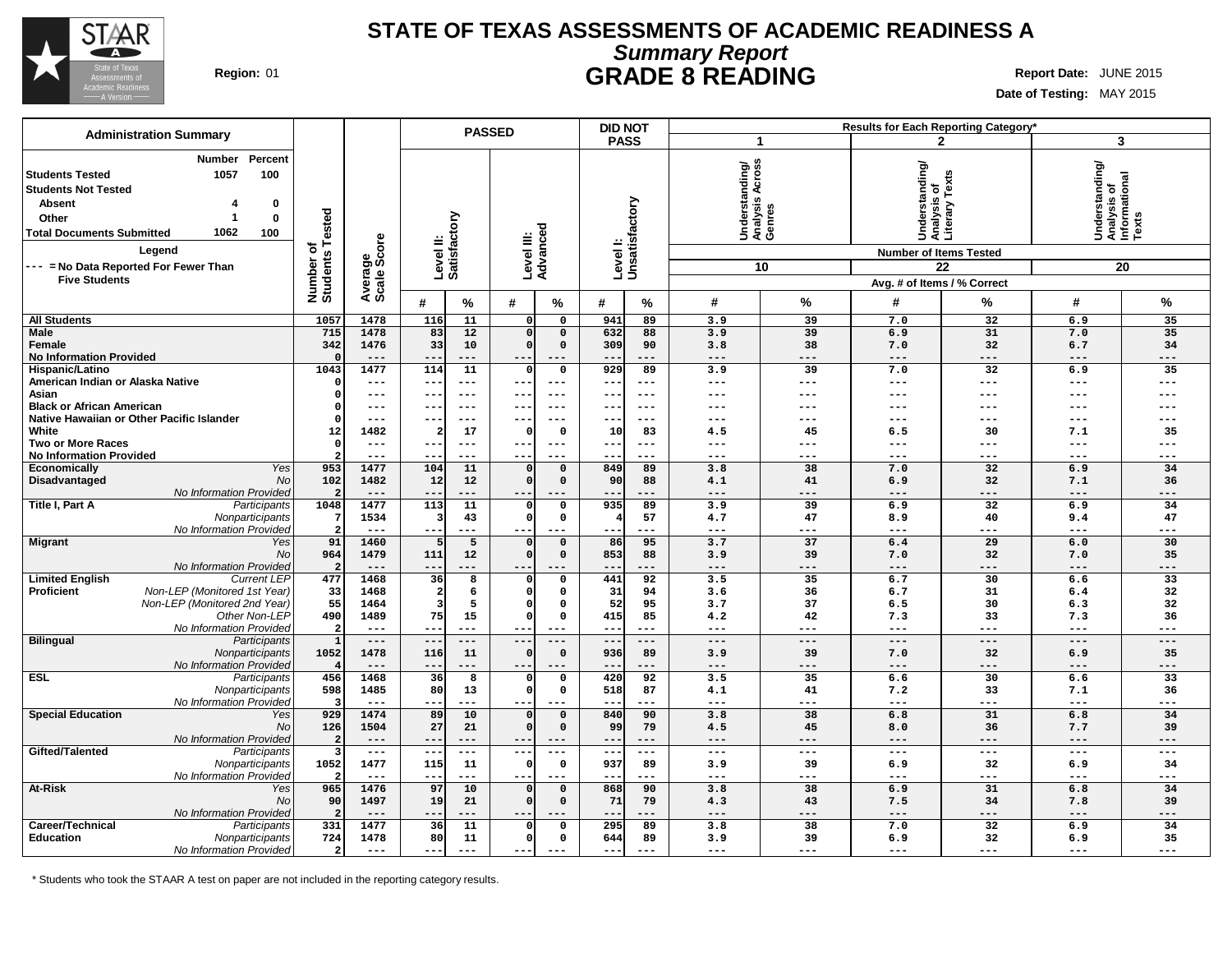

## **STATE OF TEXAS ASSESSMENTS OF ACADEMIC READINESS A Summary Report Region:** 01 **GRADE 8 READING Report Date:** JUNE 2015

٦

**Date of Testing:** MAY 2015

|                                                                                                                                                                                                                                                                                |                                         |                        |                          |                                                               | <b>PASSED</b> |                             |                                | <b>DID NOT</b> |                                             |                     |                                                                                  | Results for Each Reporting Category* |                                                            |             |
|--------------------------------------------------------------------------------------------------------------------------------------------------------------------------------------------------------------------------------------------------------------------------------|-----------------------------------------|------------------------|--------------------------|---------------------------------------------------------------|---------------|-----------------------------|--------------------------------|----------------|---------------------------------------------|---------------------|----------------------------------------------------------------------------------|--------------------------------------|------------------------------------------------------------|-------------|
| <b>Administration Summary</b>                                                                                                                                                                                                                                                  |                                         |                        |                          |                                                               |               |                             |                                | <b>PASS</b>    |                                             | 1                   |                                                                                  | $\mathbf{2}$                         |                                                            | 3           |
| Percent<br><b>Number</b><br><b>Students Tested</b><br>100<br>1057<br><b>Students Not Tested</b><br><b>Absent</b><br>0<br>$\bf{0}$<br>Other<br>-1<br>1062<br>100<br><b>Total Documents Submitted</b><br>Legend<br>--- = No Data Reported For Fewer Than<br><b>Five Students</b> | ested<br>⊢<br>৳<br>Number o<br>Students | Average<br>Scale Score |                          | Level II:<br>Satisfactory<br>ठ<br>Level III:<br>Advancec<br># |               |                             | Level I:<br>Unsatisfactory     |                | Understanding/<br>Analysis Across<br>Genres | 10                  | Understanding/<br>Analysis of<br>Literary Texts<br><b>Number of Items Tested</b> | 22<br>Avg. # of Items / % Correct    | Understanding/<br> Analysis of<br> Informational<br> Texts | 20          |
|                                                                                                                                                                                                                                                                                |                                         |                        |                          | %                                                             | #             | $\%$                        | #                              | %              | #                                           | %                   | #                                                                                | %                                    | #                                                          | %           |
| <b>All Students</b>                                                                                                                                                                                                                                                            | 1057                                    | 1478                   | 116                      | 11                                                            | οI            | $\mathbf 0$                 | 941                            | 89             | 3.9                                         | 39                  | 7.0                                                                              | 32                                   | 6.9                                                        | 35          |
| Male                                                                                                                                                                                                                                                                           | 715                                     | 1478                   | 83                       | 12                                                            | οI            | $\mathbf 0$                 | 632                            | 88             | 3.9                                         | 39                  | 6.9                                                                              | 31                                   | 7.0                                                        | 35          |
| Female                                                                                                                                                                                                                                                                         | 342                                     | 1476                   | 33                       | 10                                                            | $\Omega$      | $\mathbf 0$                 | 309                            | 90             | 3.8                                         | 38                  | 7.0                                                                              | 32                                   | 6.7                                                        | 34          |
| <b>No Information Provided</b><br>Hispanic/Latino                                                                                                                                                                                                                              | $\Omega$<br>1043                        | $---$<br>1477          | 114                      | ---<br>11                                                     | $\Omega$      | $---$<br>$\mathbf 0$        | 929                            | ---<br>89      | $---$<br>3.9                                | ---<br>39           | $---$<br>7.0                                                                     | ---<br>$\overline{32}$               | $---$<br>6.9                                               | ---<br>35   |
| American Indian or Alaska Native                                                                                                                                                                                                                                               | O                                       | $---$                  | $- -$                    | ---                                                           | $- -$         | $---$                       | $- -$                          | ---            | $---$                                       | $---$               | ---                                                                              | ---                                  | $---$                                                      | ---         |
| Asian                                                                                                                                                                                                                                                                          | $\Omega$                                | $---$                  | $- -$                    | $---$                                                         | ---           | $---$                       | $---$                          | $---$          | ---                                         | $---$               | ---                                                                              | ---                                  | $---$                                                      | ---         |
| <b>Black or African American</b>                                                                                                                                                                                                                                               | $\Omega$                                | $---$                  |                          | ---                                                           |               | $---$                       |                                | $- - -$        | ---                                         | ---                 | ---                                                                              | ---                                  | ---                                                        |             |
| Native Hawaiian or Other Pacific Islander                                                                                                                                                                                                                                      | $\Omega$                                | $---$                  | $- -$                    | $---$                                                         | $--$          | $---$                       | $- -$                          | $---$          | ---                                         | $---$               | ---                                                                              | ---                                  | $---$                                                      | ---         |
| White                                                                                                                                                                                                                                                                          | 12                                      | 1482                   |                          | 17                                                            | 0             | $\Omega$                    | 10                             | 83<br>$---$    | 4.5                                         | 45                  | 6.5                                                                              | 30                                   | 7.1                                                        | 35<br>---   |
| <b>Two or More Races</b><br><b>No Information Provided</b>                                                                                                                                                                                                                     | $\Omega$                                | $---$<br>$---$         | $\overline{\phantom{m}}$ | ---<br>---                                                    | $- -$<br>--   | $- - -$                     | ---                            | ---            | ---<br>---                                  | ---<br>---          | $\qquad \qquad - -$<br>---                                                       | ---<br>---                           | $---$<br>$---$                                             | ---         |
| Yes<br>Economically                                                                                                                                                                                                                                                            | 953                                     | 1477                   | 104                      | 11                                                            | 0             | $\mathbf 0$                 | 849                            | 89             | 3.8                                         | 38                  | 7.0                                                                              | 32                                   | 6.9                                                        | 34          |
| Disadvantaged<br><b>No</b>                                                                                                                                                                                                                                                     | 102                                     | 1482                   | 12                       | 12                                                            | $\Omega$      | $\mathbf 0$                 | 90                             | 88             | 4.1                                         | 41                  | 6.9                                                                              | 32                                   | 7.1                                                        | 36          |
| No Information Provided                                                                                                                                                                                                                                                        |                                         |                        |                          |                                                               |               |                             | --                             |                | ---                                         |                     | ---                                                                              | ---                                  | ---                                                        | ---         |
| Title I, Part A<br>Participants<br>Nonparticipants                                                                                                                                                                                                                             | 1048                                    | 1477<br>1534           | 113                      | 11<br>43                                                      | 0<br>$\Omega$ | $\mathbf 0$<br>$\mathsf{o}$ | 935<br>$\overline{\mathbf{4}}$ | 89<br>57       | 3.9<br>4.7                                  | 39<br>47            | 6.9<br>8.9                                                                       | 32<br>40                             | 6.9<br>9.4                                                 | 34<br>47    |
| No Information Provideo                                                                                                                                                                                                                                                        | 2                                       | $---$                  | $\overline{\phantom{m}}$ | ---                                                           | $--$          | $---$                       |                                | ---            | $---$                                       | $---$               | ---                                                                              | ---                                  | $- - -$                                                    | ---         |
| <b>Migrant</b><br>Yes                                                                                                                                                                                                                                                          | 91                                      | 1460                   |                          | 5                                                             | 0             | $\mathbf 0$                 | 86                             | 95             | 3.7                                         | 37                  | 6.4                                                                              | 29                                   | 6.0                                                        | 30          |
| No                                                                                                                                                                                                                                                                             | 964                                     | 1479                   | 111                      | 12                                                            | 0l            | $\mathbf 0$                 | 853                            | 88             | 3.9                                         | 39                  | 7.0                                                                              | 32                                   | 7.0                                                        | 35          |
| No Information Provideo                                                                                                                                                                                                                                                        | $\overline{2}$                          | $- - -$                | $- -$                    | ---                                                           | $- -$         | $- - -$                     | --                             | ---            | $- - -$                                     | ---                 | $- - -$                                                                          | ---                                  | $- - -$                                                    | ---         |
| <b>Limited English</b><br><b>Current LEP</b><br>Non-LEP (Monitored 1st Year)<br>Proficient                                                                                                                                                                                     | 477<br>33                               | 1468<br>1468           | 36<br>$\overline{2}$     | 8<br>6                                                        | 0<br>$\Omega$ | $\mathsf{o}$<br>$\mathbf 0$ | 441<br>31                      | 92<br>94       | 3.5<br>3.6                                  | 35<br>36            | 6.7<br>6.7                                                                       | 30<br>31                             | 6.6<br>6.4                                                 | 33<br>32    |
| Non-LEP (Monitored 2nd Year)                                                                                                                                                                                                                                                   | 55                                      | 1464                   |                          | 5                                                             | οI            | $\Omega$                    | 52                             | 95             | 3.7                                         | 37                  | 6.5                                                                              | 30                                   | 6.3                                                        | 32          |
| Other Non-LEP                                                                                                                                                                                                                                                                  | 490                                     | 1489                   | 75                       | 15                                                            | $\mathbf 0$   | $\mathsf{o}$                | 415                            | 85             | 4.2                                         | 42                  | 7.3                                                                              | 33                                   | 7.3                                                        | 36          |
| No Information Provided                                                                                                                                                                                                                                                        | $\overline{2}$                          | $---$                  | $- -$                    | $---$                                                         | ---           | $- - -$                     | $- - -$                        | ---            | $- - -$                                     | $---$               | $---$                                                                            | ---                                  | $- - -$                                                    | $---$       |
| <b>Bilingual</b><br>Participants                                                                                                                                                                                                                                               | $\mathbf{1}$                            | $---$                  | $\qquad \qquad -$        | $---$                                                         | $--$          | $---$                       | $---$                          | $---$          | $---$                                       | $---$               | $---$                                                                            | $---$                                | $---$                                                      | $---$       |
| Nonparticipants                                                                                                                                                                                                                                                                | 1052                                    | 1478<br>$---$          | 116                      | 11<br>---                                                     | $\Omega$      | $\mathbf 0$                 | 936                            | 89<br>---      | 3.9<br>$---$                                | 39<br>---           | 7.0<br>$---$                                                                     | 32<br>$---$                          | 6.9<br>$---$                                               | 35<br>---   |
| No Information Provided<br><b>ESL</b><br>Participants                                                                                                                                                                                                                          | 456                                     | 1468                   | 36                       | 8                                                             | 0             | $\mathbf 0$                 | 420                            | 92             | 3.5                                         | 35                  | 6.6                                                                              | 30                                   | 6.6                                                        | 33          |
| Nonparticipants                                                                                                                                                                                                                                                                | 598                                     | 1485                   | 80                       | 13                                                            | $\Omega$      | $\mathsf{o}$                | 518                            | 87             | 4.1                                         | 41                  | 7.2                                                                              | 33                                   | 7.1                                                        | 36          |
| No Information Provideo                                                                                                                                                                                                                                                        | в                                       | $---$                  | $- -$                    | ---                                                           | $- - -$       | $- - -$                     | $- -$                          | ---            | $- - -$                                     | $---$               | $---$                                                                            | $---$                                | $---$                                                      | $---$       |
| <b>Special Education</b><br>Yes                                                                                                                                                                                                                                                | 929                                     | 1474                   | 89                       | 10                                                            | $\Omega$      | $\Omega$                    | 840                            | 90             | 3.8                                         | 38                  | 6.8                                                                              | 31                                   | 6.8                                                        | 34          |
| No                                                                                                                                                                                                                                                                             | 126<br>$\overline{2}$                   | 1504<br>$---$          | 27<br>$- -$              | 21<br>---                                                     | $\Omega$      | $\mathbf 0$                 | 99<br>--                       | 79<br>---      | 4.5<br>---                                  | 45<br>$---$         | 8.0<br>$---$                                                                     | 36<br>---                            | 7.7                                                        | 39<br>$---$ |
| No Information Provideo<br>Gifted/Talented<br>Participants                                                                                                                                                                                                                     | 3                                       | $---$                  | $- -$                    | $---$                                                         | $- -$<br>$--$ | $---$<br>$---$              | $---$                          | ---            | $\frac{1}{2}$                               | $\qquad \qquad - -$ | $---$                                                                            | ---                                  | $---$<br>$\frac{1}{2}$                                     | $---$       |
| Nonparticipants                                                                                                                                                                                                                                                                | 1052                                    | 1477                   | 115                      | 11                                                            | $\Omega$      | $\mathbf 0$                 | 937                            | 89             | 3.9                                         | 39                  | 6.9                                                                              | 32                                   | 6.9                                                        | 34          |
| No Information Provided                                                                                                                                                                                                                                                        | 2                                       | $---$                  | $- -$                    | ---                                                           | $- - -$       | $\qquad \qquad - -$         | $- -$                          | ---            | $---$                                       | $---$               | ---                                                                              | ---                                  | $---$                                                      | $---$       |
| At-Risk<br>Yes                                                                                                                                                                                                                                                                 | 965                                     | 1476                   | 97                       | 10                                                            | $\Omega$      | $\mathbf 0$                 | 868                            | 90             | 3.8                                         | 38                  | 6.9                                                                              | 31                                   | 6.8                                                        | 34          |
| No                                                                                                                                                                                                                                                                             | 90                                      | 1497                   | 19                       | 21                                                            | $\Omega$      | $\mathbf 0$                 | 71                             | 79             | 4.3<br>$---$                                | 43                  | 7.5                                                                              | 34                                   | 7.8                                                        | 39          |
| No Information Provided<br>Career/Technical<br>Participants                                                                                                                                                                                                                    | 2<br>331                                | $---$<br>1477          | 36                       | ---<br>11                                                     | O             | $\mathbf 0$                 | 295                            | ---<br>89      | 3.8                                         | ---<br>38           | $---$<br>7.0                                                                     | ---<br>32                            | $---$<br>6.9                                               | ---<br>34   |
| <b>Education</b><br>Nonparticipants                                                                                                                                                                                                                                            | 724                                     | 1478                   | 80                       | 11                                                            | $\Omega$      | $\mathbf 0$                 | 644                            | 89             | 3.9                                         | 39                  | 6.9                                                                              | 32                                   | 6.9                                                        | 35          |
| No Information Provided                                                                                                                                                                                                                                                        | $\overline{\mathbf{2}}$                 | $---$                  | $--$                     | ---                                                           | $--$          | $\frac{1}{2}$               | ---                            | $---$          | $---$                                       | ---                 | ---                                                                              | ---                                  | $\frac{1}{2}$                                              | ---         |

\* Students who took the STAAR A test on paper are not included in the reporting category results.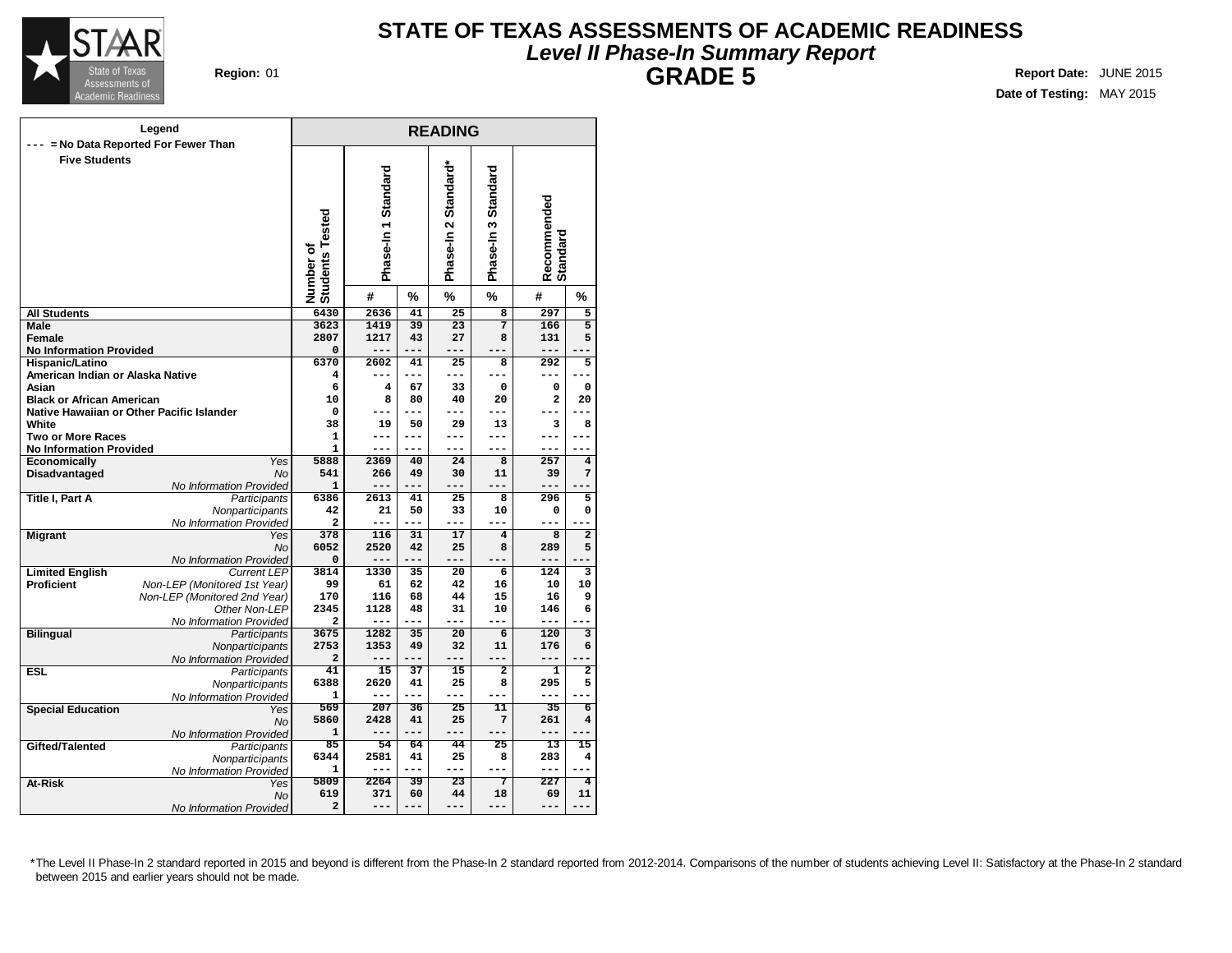

## **STATE OF TEXAS ASSESSMENTS OF ACADEMIC READINESS Level II Phase-In Summary Report GRADE 5 Region:** 01 **Report Date:** JUNE 2015

**Date of Testing:** MAY 2015

|                                                            | Legend                                    |                              |                     |           | <b>READING</b>       |                              |                         |                         |  |
|------------------------------------------------------------|-------------------------------------------|------------------------------|---------------------|-----------|----------------------|------------------------------|-------------------------|-------------------------|--|
|                                                            | = No Data Reported For Fewer Than         |                              |                     |           |                      |                              |                         |                         |  |
| <b>Five Students</b>                                       |                                           | Number of<br>Students Tested | Phase-In 1 Standard |           | Phase-In 2 Standard* | Phase-In 3 Standard          | Recommended<br>Standard |                         |  |
|                                                            |                                           |                              | #                   | %         | $\%$                 | $\%$                         | #                       | %                       |  |
| <b>All Students</b>                                        |                                           | 6430                         | 2636                | 41        | 25                   | $\overline{\mathbf{8}}$      | 297                     | 5                       |  |
| Male                                                       |                                           | 3623                         | 1419                | 39        | 23                   | $\overline{7}$               | 166                     | 5                       |  |
| Female                                                     |                                           | 2807                         | 1217                | 43        | 27                   | 8                            | 131                     | 5                       |  |
| <b>No Information Provided</b>                             |                                           | 0                            | ---                 | ---       | $- - -$              | ---                          | ---                     |                         |  |
| <b>Hispanic/Latino</b><br>American Indian or Alaska Native |                                           | 6370                         | 2602<br>---         | 41<br>--- | 25<br>---            | 8<br>---                     | 292<br>---              | 5<br>---                |  |
| Asian                                                      |                                           | 4<br>6                       | 4                   | 67        | 33                   | 0                            | 0                       | 0                       |  |
| <b>Black or African American</b>                           |                                           | 10                           | 8                   | 80        | 40                   | 20                           | $\overline{\mathbf{2}}$ | 20                      |  |
|                                                            | Native Hawaiian or Other Pacific Islander | 0                            | ---                 | ---       | ---                  | ---                          | ---                     |                         |  |
| White                                                      |                                           | 38                           | 19                  | 50        | 29                   | 13                           | 3                       | 8                       |  |
| <b>Two or More Races</b>                                   |                                           | 1                            | ---                 | ---       | ---                  | ---                          | ---                     |                         |  |
| <b>No Information Provided</b>                             |                                           | 1                            | ---                 |           | $---$                | ---                          | ---                     | ---                     |  |
| <b>Economically</b>                                        | Yes                                       | 5888                         | 2369                | 40        | 24                   | 8                            | 257                     | 4                       |  |
| Disadvantaged                                              | <b>No</b>                                 | 541                          | 266                 | 49        | 30                   | 11                           | 39                      | $\overline{7}$          |  |
|                                                            | No Information Provided                   | 1                            | ---                 | ---       | ---                  | ---                          | ---                     |                         |  |
| Title I, Part A                                            | Participants                              | 6386                         | 2613                | 41        | 25                   | 8                            | 296                     | 5                       |  |
|                                                            | Nonparticipants                           | 42                           | 21                  | 50        | 33                   | 10                           | 0                       | 0                       |  |
|                                                            | No Information Provided                   | 2                            | ---                 | $---$     | ---                  |                              | ---                     |                         |  |
| <b>Migrant</b>                                             | Yes<br><b>No</b>                          | 378<br>6052                  | 116<br>2520         | 31<br>42  | 17<br>25             | $\overline{\mathbf{4}}$<br>8 | 8<br>289                | $\overline{a}$<br>5     |  |
|                                                            | No Information Provided                   | 0                            | ---                 | ---       | ---                  | ---                          | ---                     | --                      |  |
| <b>Limited English</b>                                     | <b>Current LEP</b>                        | 3814                         | 1330                | 35        | 20                   | 6                            | 124                     | 3                       |  |
| <b>Proficient</b>                                          | Non-LEP (Monitored 1st Year)              | 99                           | 61                  | 62        | 42                   | 16                           | 10                      | 10                      |  |
|                                                            | Non-LEP (Monitored 2nd Year)              | 170                          | 116                 | 68        | 44                   | 15                           | 16                      | 9                       |  |
|                                                            | Other Non-LEP                             | 2345                         | 1128                | 48        | 31                   | 10                           | 146                     | 6                       |  |
|                                                            | No Information Provided                   | 2                            | ---                 | $- - -$   | $---$                | ---                          | $---$                   |                         |  |
| <b>Bilingual</b>                                           | Participants                              | 3675                         | 1282                | 35        | 20                   | $\overline{6}$               | 120                     | 3                       |  |
|                                                            | Nonparticipants                           | 2753                         | 1353                | 49        | 32                   | 11                           | 176                     | 6                       |  |
|                                                            | No Information Provided                   | 2                            | ---                 | $---$     | $---$                | ---                          | ---                     |                         |  |
| <b>ESL</b>                                                 | Participants                              | 41                           | 15                  | 37        | 15                   | $\overline{2}$               | 1                       | $\overline{\mathbf{2}}$ |  |
|                                                            | Nonparticipants                           | 6388<br>1                    | 2620<br>---         | 41<br>--- | 25<br>$---$          | 8<br>---                     | 295<br>---              | 5<br>۵.                 |  |
|                                                            | No Information Provided                   | 569                          | 207                 | 36        | 25                   | 11                           | 35                      | $\overline{6}$          |  |
| <b>Special Education</b>                                   | Yes<br>No                                 | 5860                         | 2428                | 41        | 25                   | 7                            | 261                     | 4                       |  |
|                                                            | No Information Provided                   | 1                            | ---                 | ---       | $---$                | ---                          | ---                     | $---$                   |  |
| Gifted/Talented                                            | Participants                              | 85                           | 54                  | 64        | 44                   | 25                           | 13                      | 15                      |  |
|                                                            | Nonparticipants                           | 6344                         | 2581                | 41        | 25                   | 8                            | 283                     | 4                       |  |
|                                                            | No Information Provided                   | 1                            | ---                 | $- - -$   | $---$                | ---                          | $---$                   | ---                     |  |
| At-Risk                                                    | Yes                                       | 5809                         | 2264                | 39        | 23                   | 7                            | $\overline{227}$        | $\overline{4}$          |  |
|                                                            | No                                        | 619                          | 371                 | 60        | 44                   | 18                           | 69                      | 11                      |  |
|                                                            | No Information Provided                   | $\overline{\mathbf{2}}$      | ---                 | ---       | ---                  | $-- -$                       | ---                     | ---                     |  |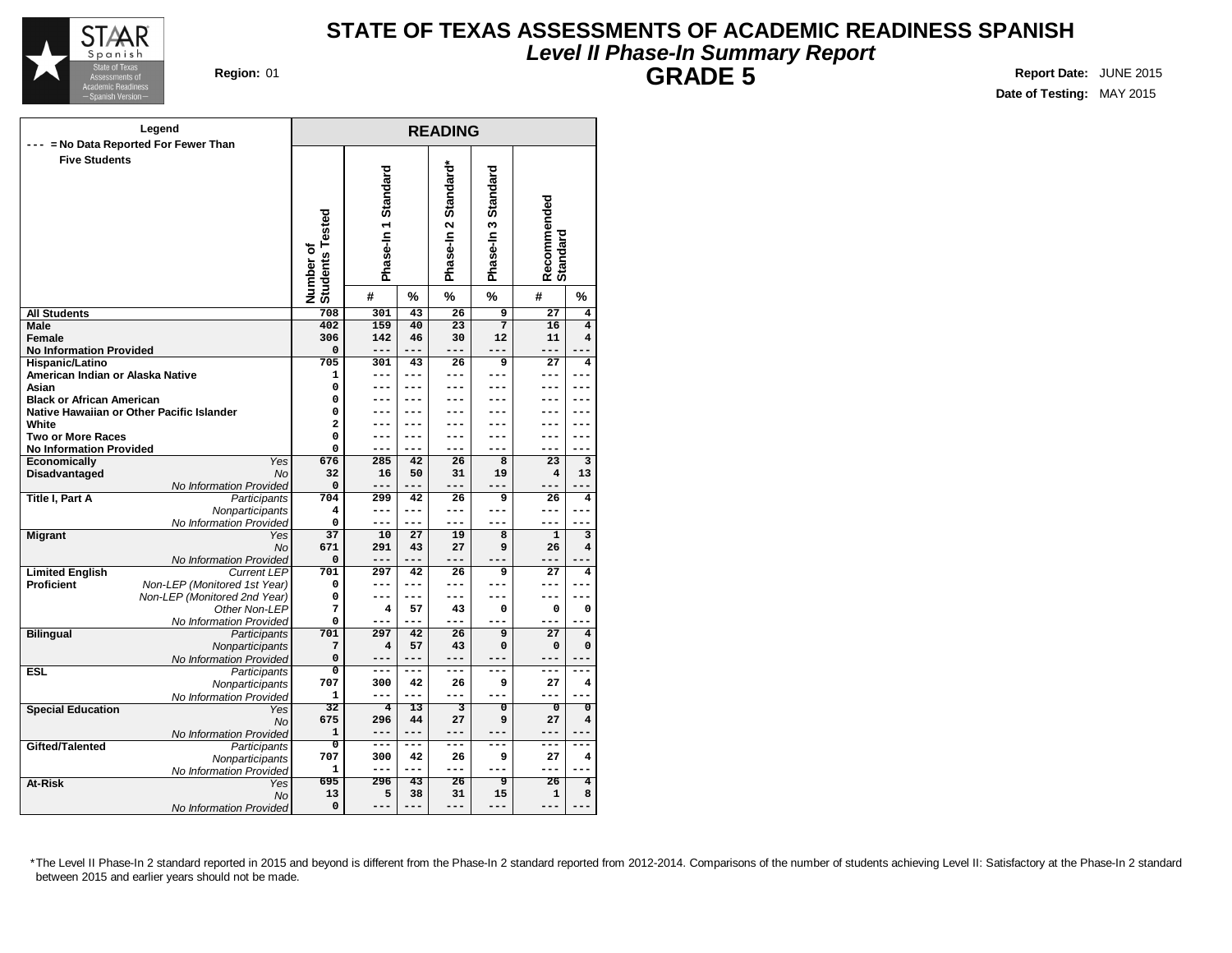

# **STATE OF TEXAS ASSESSMENTS OF ACADEMIC READINESS SPANISH Level II Phase-In Summary Report GRADE 5 Region:** 01 **Report Date:** JUNE 2015

**Date of Testing:** MAY 2015

| Legend                                                     | <b>READING</b>                      |                     |                 |                      |                           |                         |                         |  |  |
|------------------------------------------------------------|-------------------------------------|---------------------|-----------------|----------------------|---------------------------|-------------------------|-------------------------|--|--|
| = No Data Reported For Fewer Than<br>---                   |                                     |                     |                 |                      |                           |                         |                         |  |  |
| <b>Five Students</b>                                       | <b>Students Tested</b><br>Number of | Phase-In 1 Standard |                 | Phase-In 2 Standard* | Phase-In 3 Standard       | Recommended<br>Standard |                         |  |  |
|                                                            |                                     | #                   | %               | %                    | $\%$                      | #                       | $\frac{9}{6}$           |  |  |
| <b>All Students</b>                                        | 708                                 | 301                 | 43              | 26                   | 9                         | 27                      | 4                       |  |  |
| Male                                                       | 402                                 | 159                 | 40              | 23                   | $\overline{7}$            | 16                      | $\overline{\mathbf{4}}$ |  |  |
| Female                                                     | 306                                 | 142                 | 46              | 30                   | 12                        | 11                      | 4                       |  |  |
| <b>No Information Provided</b>                             | 0                                   | $---$               | $- - -$         | ---                  | ---                       | $- - -$                 |                         |  |  |
| <b>Hispanic/Latino</b>                                     | 705                                 | 301                 | 43              | 26                   | 9                         | 27                      | 4                       |  |  |
| American Indian or Alaska Native                           | 1                                   | ---                 | ---             | ---                  | ---                       | ---                     | ---                     |  |  |
| Asian                                                      | 0                                   |                     | ---             |                      |                           | ---                     |                         |  |  |
| <b>Black or African American</b>                           | 0                                   |                     | ---             |                      |                           |                         |                         |  |  |
| Native Hawaiian or Other Pacific Islander                  | 0                                   |                     | ---             |                      |                           | ---                     |                         |  |  |
| White                                                      | $\overline{a}$                      |                     | ---             |                      |                           | ---                     |                         |  |  |
| <b>Two or More Races</b>                                   | 0                                   |                     |                 |                      |                           | ---                     |                         |  |  |
| <b>No Information Provided</b>                             | 0                                   | ---                 | ---             | ---                  | ---                       | ---                     | ---                     |  |  |
| Economically<br>Yes                                        | 676                                 | 285                 | 42              | 26                   | 8                         | 23                      | 3                       |  |  |
| Disadvantaged<br><b>No</b>                                 | 32                                  | 16                  | 50              | 31                   | 19                        | 4                       | 13                      |  |  |
| No Information Provided<br>Title I, Part A<br>Participants | 0<br>704                            | ---<br>299          | ---<br>42       | ---<br>26            | ---<br>9                  | ---<br>26               | $\overline{\mathbf{4}}$ |  |  |
|                                                            | 4                                   | ---                 | ---             | ---                  | ---                       | ---                     |                         |  |  |
| Nonparticipants<br>No Information Provided                 | 0                                   | ---                 | ---             | ---                  | ---                       | $---$                   | ---                     |  |  |
| <b>Migrant</b><br>Yes                                      | 37                                  | 10                  | 27              | 19                   | 8                         | $\mathbf{1}$            | 3                       |  |  |
| <b>No</b>                                                  | 671                                 | 291                 | 43              | 27                   | 9                         | 26                      | 4                       |  |  |
| No Information Provided                                    | 0                                   | ---                 | ---             | ---                  | ---                       | ---                     |                         |  |  |
| <b>Current LEP</b><br><b>Limited English</b>               | 701                                 | 297                 | 42              | 26                   | 9                         | 27                      | $\overline{\mathbf{4}}$ |  |  |
| Proficient<br>Non-LEP (Monitored 1st Year)                 | 0                                   | ---                 | ---             | ---                  |                           | ---                     | ---                     |  |  |
| Non-LEP (Monitored 2nd Year)                               | 0                                   | ---                 | ---             | ---                  | ---                       | ---                     | ---                     |  |  |
| Other Non-LEP                                              | 7                                   | 4                   | 57              | 43                   | 0                         | 0                       | $\mathbf 0$             |  |  |
| No Information Provided                                    | 0                                   | ---                 | ---             | ---                  | ---                       | ---                     |                         |  |  |
| <b>Bilingual</b><br>Participants                           | 701                                 | 297                 | 42              | 26                   | $\overline{9}$            | $\overline{27}$         | 4                       |  |  |
| Nonparticipants                                            | 7                                   | 4                   | 57              | 43                   | 0                         | 0                       | 0                       |  |  |
| No Information Provided                                    | 0                                   | ---                 | ---             |                      |                           | ---                     |                         |  |  |
| <b>ESL</b><br>Participants                                 | 0                                   | ---                 | ---             | ---                  | ---                       | ---                     |                         |  |  |
| Nonparticipants                                            | 707                                 | 300                 | 42              | 26                   | 9                         | 27                      | 4                       |  |  |
| No Information Provided                                    | 1                                   |                     | ---             |                      |                           |                         |                         |  |  |
| <b>Special Education</b><br>Yes                            | 32                                  | 4                   | 13              | 3                    | $\overline{\mathfrak{o}}$ | $\overline{\mathbf{o}}$ | $\overline{\mathbf{0}}$ |  |  |
| No                                                         | 675                                 | 296                 | 44              | 27                   | 9                         | 27                      | 4                       |  |  |
| No Information Provided                                    | $\mathbf{1}$                        | ---                 | ---             |                      |                           |                         |                         |  |  |
| Gifted/Talented<br>Participants                            | 0                                   | ---                 | ---             | ---                  | ---                       | ---                     | $---$                   |  |  |
| Nonparticipants                                            | 707<br>$\mathbf{1}$                 | 300<br>---          | 42<br>---       | 26<br>---            | 9                         | 27<br>---               | 4                       |  |  |
| No Information Provided                                    | 695                                 | 296                 | $\overline{43}$ | 26                   | ब्र                       | $\overline{26}$         | 4                       |  |  |
| At-Risk<br>Yes                                             | 13                                  | 5                   | 38              | 31                   | 15                        | 1                       | 8                       |  |  |
| No<br>No Information Provided                              | 0                                   |                     | --              | ---                  |                           | ---                     |                         |  |  |
|                                                            |                                     |                     |                 |                      |                           |                         |                         |  |  |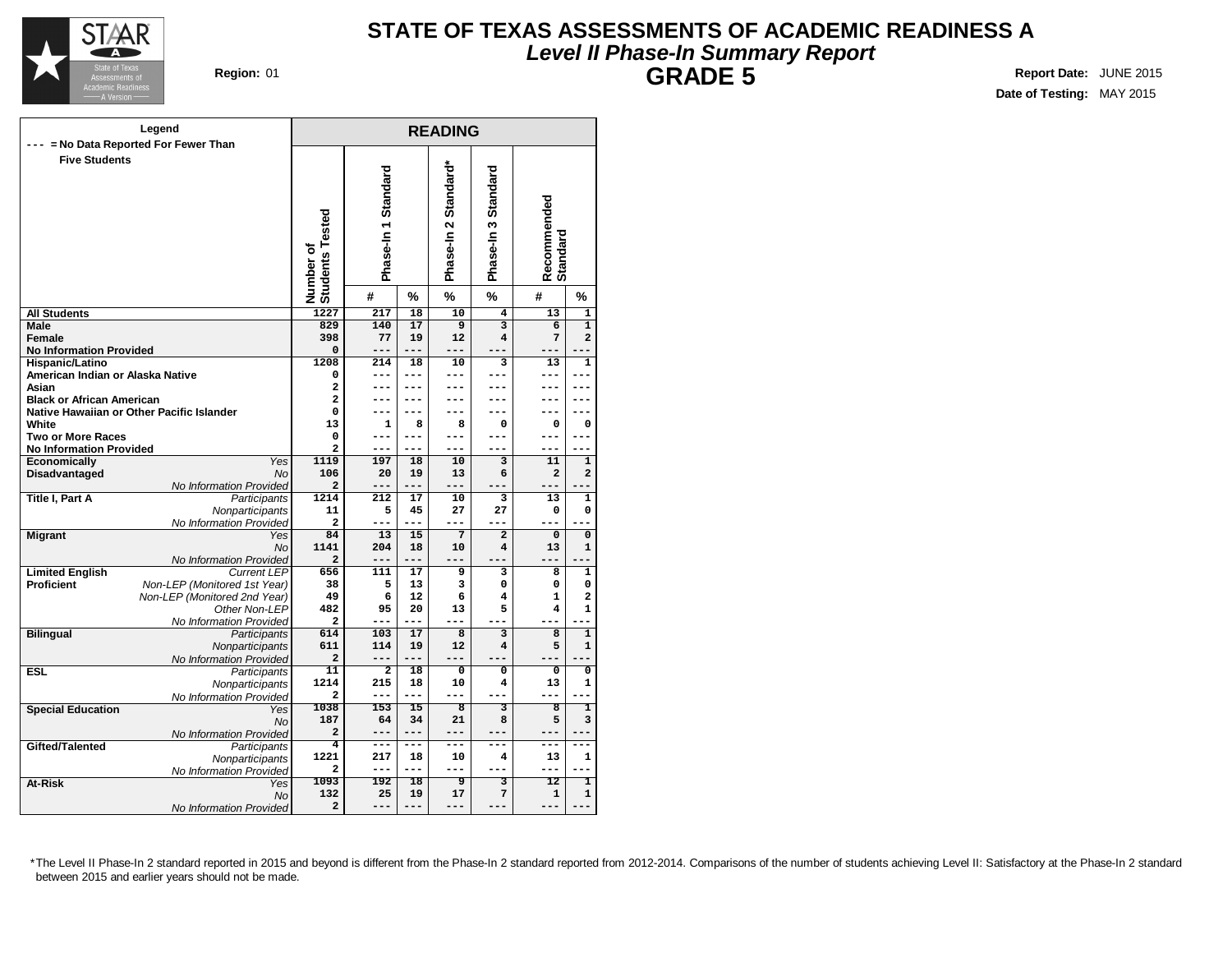

# **STATE OF TEXAS ASSESSMENTS OF ACADEMIC READINESS A Level II Phase-In Summary Report GRADE 5 Region:** 01 **Report Date:** JUNE 2015

**Date of Testing:** MAY 2015

|                                                | Legend                                  | <b>READING</b>                         |                     |                 |                      |                         |                         |                         |  |  |
|------------------------------------------------|-----------------------------------------|----------------------------------------|---------------------|-----------------|----------------------|-------------------------|-------------------------|-------------------------|--|--|
|                                                | = No Data Reported For Fewer Than       |                                        |                     |                 |                      |                         |                         |                         |  |  |
| <b>Five Students</b>                           |                                         | Number of<br>Students Tested           | Phase-In 1 Standard |                 | Phase-In 2 Standard* | Phase-In 3 Standard     | Recommended<br>Standard |                         |  |  |
|                                                |                                         |                                        | #                   | %               | %                    | %                       | #                       | %                       |  |  |
| All Students                                   |                                         | 1227                                   | 217                 | 18              | 10                   | $\overline{\bf{4}}$     | 13                      | $\mathbf{1}$            |  |  |
| Male                                           |                                         | 829                                    | 140                 | 17              | $\overline{9}$       | $\overline{\mathbf{3}}$ | $\overline{6}$          | $\overline{\mathbf{1}}$ |  |  |
| Female                                         |                                         | 398                                    | 77                  | 19              | 12                   | 4                       | 7                       | $\overline{a}$          |  |  |
| <b>No Information Provided</b>                 |                                         | 0                                      | ---                 | $- - -$         | ---                  |                         | ---                     |                         |  |  |
| Hispanic/Latino                                |                                         | 1208                                   | 214                 | 18              | 10                   | 3                       | 13                      | 1                       |  |  |
| American Indian or Alaska Native               |                                         | 0                                      | ---                 | ---             |                      | ---                     | ---                     |                         |  |  |
| Asian                                          |                                         | 2                                      |                     |                 |                      |                         | ---                     |                         |  |  |
| <b>Black or African American</b>               |                                         | $\overline{a}$                         | ---                 | ---             |                      | ---                     | ---                     |                         |  |  |
| Native Hawaiian or Other Pacific Islander      |                                         | $\mathbf 0$                            |                     |                 |                      |                         |                         |                         |  |  |
| White                                          |                                         | 13                                     | 1                   | 8               | 8                    | 0<br>---                | $\mathbf 0$             | $\mathbf 0$             |  |  |
| <b>Two or More Races</b>                       |                                         | $\mathbf 0$<br>$\overline{\mathbf{c}}$ | ---<br>---          | ---             | ---                  | ---                     | ---<br>---              |                         |  |  |
| <b>No Information Provided</b><br>Economically | Yes                                     | 1119                                   | 197                 | 18              | 10                   | 3                       | 11                      | 1                       |  |  |
| Disadvantaged                                  | <b>No</b>                               | 106                                    | 20                  | 19              | 13                   | 6                       | 2                       | $\overline{\mathbf{2}}$ |  |  |
|                                                | No Information Provided                 | 2                                      | ---                 | ---             | ---                  |                         |                         |                         |  |  |
| Title I, Part A                                | Participants                            | 1214                                   | 212                 | 17              | 10                   | 3                       | 13                      | 1                       |  |  |
|                                                | Nonparticipants                         | 11                                     | 5                   | 45              | 27                   | 27                      | 0                       | $\mathbf 0$             |  |  |
|                                                | No Information Provided                 | 2                                      | ---                 | ---             | ---                  | ---                     | ---                     |                         |  |  |
| <b>Migrant</b>                                 | Yes                                     | 84                                     | 13                  | 15              | 7                    | $\mathbf{z}$            | $\mathbf 0$             | $\mathbf 0$             |  |  |
|                                                | <b>No</b>                               | 1141                                   | 204                 | 18              | 10                   | 4                       | 13                      | $\mathbf{1}$            |  |  |
|                                                | No Information Provided                 | $\overline{\mathbf{2}}$                | ---                 | ---             | ---                  | ---                     |                         |                         |  |  |
| <b>Limited English</b>                         | <b>Current LEP</b>                      | 656                                    | 111                 | 17              | 9                    | 3                       | 8                       | 1                       |  |  |
| Proficient                                     | Non-LEP (Monitored 1st Year)            | 38                                     | 5                   | 13              | 3                    | 0                       | 0                       | 0                       |  |  |
|                                                | Non-LEP (Monitored 2nd Year)            | 49                                     | 6                   | 12              | 6                    | 4                       | $\mathbf{1}$            | $\overline{a}$          |  |  |
|                                                | Other Non-LEP                           | 482                                    | 95                  | 20              | 13                   | 5                       | 4                       | $\mathbf{1}$            |  |  |
|                                                | No Information Provided                 | $\overline{\mathbf{2}}$                | ---                 | ---             | ---                  |                         |                         |                         |  |  |
| <b>Bilingual</b>                               | Participants                            | 614                                    | 103                 | $\overline{17}$ | $\overline{8}$       | $\overline{\mathbf{3}}$ | $\overline{\mathbf{8}}$ | $\overline{1}$          |  |  |
|                                                | Nonparticipants                         | 611<br>$\overline{a}$                  | 114<br>---          | 19<br>---       | 12<br>$---$          | 4<br>---                | 5<br>---                | 1                       |  |  |
| <b>ESL</b>                                     | No Information Provided<br>Participants | 11                                     | $\overline{2}$      | 18              | $\mathbf 0$          | $\overline{\mathbf{0}}$ | $\mathbf{o}$            | 0                       |  |  |
|                                                | Nonparticipants                         | 1214                                   | 215                 | 18              | 10                   | 4                       | 13                      | 1                       |  |  |
|                                                | No Information Provided                 | $\overline{a}$                         | ---                 | ---             | ---                  |                         | ---                     |                         |  |  |
| <b>Special Education</b>                       | Yes                                     | 1038                                   | 153                 | $\overline{15}$ | 8                    | 3                       | $\overline{\mathbf{8}}$ | ı                       |  |  |
|                                                | No                                      | 187                                    | 64                  | 34              | 21                   | 8                       | 5                       | 3                       |  |  |
|                                                | No Information Provided                 | $\overline{a}$                         | ---                 | ---             | $---$                | ---                     | ---                     | ---                     |  |  |
| Gifted/Talented                                | Participants                            | 4                                      | ---                 | ---             | ---                  | ---                     | ---                     | ---                     |  |  |
|                                                | Nonparticipants                         | 1221                                   | 217                 | 18              | 10                   | 4                       | 13                      | 1                       |  |  |
|                                                | No Information Provided                 | $\mathbf{2}$                           | ---                 | ---             | ---                  | ---                     | ---                     | ---                     |  |  |
| At-Risk                                        | Yes                                     | 1093                                   | 192                 | 18              | 9                    | з                       | 12                      | ī                       |  |  |
|                                                | No                                      | 132                                    | 25                  | 19              | 17                   | 7                       | 1                       | 1                       |  |  |
|                                                | No Information Provided                 | $\overline{a}$                         | ---                 | ---             | ---                  |                         | ---                     | --                      |  |  |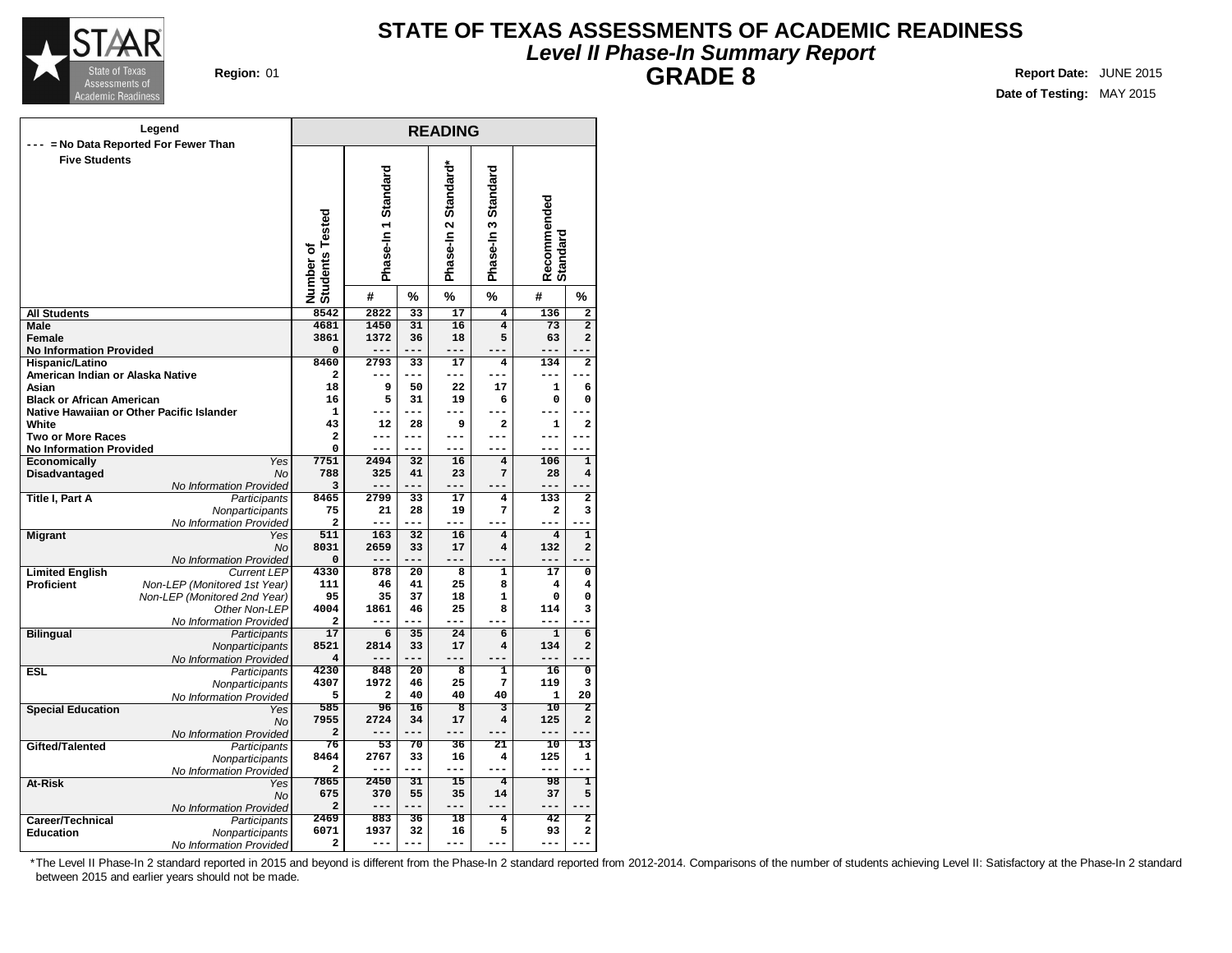

# **STATE OF TEXAS ASSESSMENTS OF ACADEMIC READINESS Level II Phase-In Summary Report GRADE 8 Region:** 01 **Report Date:** JUNE 2015

**Date of Testing:** MAY 2015

|                                           | Legend                                     |                              |                     |                 | <b>READING</b>          |                         |                         |                               |
|-------------------------------------------|--------------------------------------------|------------------------------|---------------------|-----------------|-------------------------|-------------------------|-------------------------|-------------------------------|
|                                           | --- = No Data Reported For Fewer Than      |                              |                     |                 |                         |                         |                         |                               |
| <b>Five Students</b>                      |                                            | Number of<br>Students Tested | Phase-In 1 Standard |                 | Phase-In 2 Standard*    | Phase-In 3 Standard     | Recommended<br>Standard |                               |
|                                           |                                            |                              | #                   | %               | %                       | %                       | #                       | %                             |
| <b>All Students</b>                       |                                            | 8542                         | 2822                | 33              | 17                      | 4                       | 136                     | $\overline{2}$                |
| Male                                      |                                            | 4681                         | 1450                | 31              | 16                      | $\overline{\mathbf{4}}$ | 73                      | $\overline{2}$                |
| Female                                    |                                            | 3861                         | 1372                | 36              | 18                      | 5                       | 63                      | 2                             |
| <b>No Information Provided</b>            |                                            | $\mathbf 0$                  |                     | ---             | ---                     |                         | ---                     |                               |
| Hispanic/Latino                           |                                            | 8460                         | 2793<br>---         | 33<br>---       | 17<br>---               | 4<br>---                | 134<br>---              | $\overline{\mathbf{2}}$<br>-- |
| American Indian or Alaska Native<br>Asian |                                            | $\mathbf{2}$<br>18           | 9                   | 50              |                         | 17                      | $\mathbf 1$             |                               |
| <b>Black or African American</b>          |                                            | 16                           | 5                   | 31              | 22<br>19                | 6                       | 0                       | 6<br>0                        |
|                                           | Native Hawaiian or Other Pacific Islander  | 1                            | ---                 | $- - -$         |                         | --                      |                         |                               |
| White                                     |                                            | 43                           | 12                  | 28              | 9                       | $\overline{a}$          | 1                       | $\overline{a}$                |
| <b>Two or More Races</b>                  |                                            | $\overline{a}$               | ---                 | ---             | ---                     | ---                     | ---                     | ---                           |
| <b>No Information Provided</b>            |                                            | 0                            | $---$               | $- - -$         | $- - -$                 | ---                     | ---                     | $- - -$                       |
| <b>Economically</b>                       | Yes                                        | 7751                         | 2494                | 32              | 16                      | $\overline{\bf 4}$      | 106                     | $\mathbf{1}$                  |
| Disadvantaged                             | <b>No</b>                                  | 788                          | 325                 | 41              | 23                      | 7                       | 28                      | $\overline{\mathbf{4}}$       |
|                                           | No Information Provided                    | 3                            | ---                 | ---             |                         |                         | ---                     |                               |
| Title I, Part A                           | Participants                               | 8465                         | 2799                | 33              | 17                      | 4                       | 133                     | 2                             |
|                                           | Nonparticipants                            | 75                           | 21                  | 28              | 19                      | 7                       | 2                       | 3                             |
|                                           | No Information Provided                    | $\mathbf{2}$                 | ---                 | ---             | ---                     | $\blacksquare$          | ---                     |                               |
| <b>Migrant</b>                            | Yes                                        | 511                          | 163                 | 32              | 16                      | $\overline{\mathbf{4}}$ | 4                       | $\mathbf{1}$                  |
|                                           | No                                         | 8031                         | 2659                | 33              | 17                      | 4                       | 132                     | $\mathbf 2$                   |
|                                           | No Information Provided                    | 0                            |                     |                 | ---                     |                         |                         |                               |
| <b>Limited English</b>                    | <b>Current LEP</b>                         | 4330                         | 878                 | 20              | 8                       | $\mathbf{1}$            | 17                      | 0                             |
| <b>Proficient</b>                         | Non-LEP (Monitored 1st Year)               | 111                          | 46                  | 41              | 25                      | 8                       | 4                       | 4                             |
|                                           | Non-LEP (Monitored 2nd Year)               | 95                           | 35                  | 37              | 18                      | $\mathbf{1}$            | 0                       | 0                             |
|                                           | Other Non-LEP                              | 4004                         | 1861<br>---         | 46<br>---       | 25                      | 8                       | 114                     | 3                             |
| <b>Bilingual</b>                          | No Information Provided                    | 2<br>17                      | 6                   | $\overline{35}$ | ---<br>24               | $\overline{6}$          | ---<br>1                | 6                             |
|                                           | Participants                               | 8521                         | 2814                | 33              | 17                      | 4                       | 134                     | $\overline{\mathbf{c}}$       |
|                                           | Nonparticipants<br>No Information Provided | 4                            |                     |                 | ---                     | ---                     | ---                     |                               |
| <b>ESL</b>                                | Participants                               | 4230                         | 848                 | $\overline{20}$ | 8                       | $\overline{\mathbf{1}}$ | 16                      | $\mathbf 0$                   |
|                                           | Nonparticipants                            | 4307                         | 1972                | 46              | 25                      | 7                       | 119                     | 3                             |
|                                           | No Information Provided                    | 5                            | 2                   | 40              | 40                      | 40                      | 1                       | 20                            |
| <b>Special Education</b>                  | Yes                                        | 585                          | 96                  | 16              | $\overline{\mathbf{8}}$ | 3                       | 10                      | $\overline{2}$                |
|                                           | <b>No</b>                                  | 7955                         | 2724                | 34              | 17                      | 4                       | 125                     | $\overline{a}$                |
|                                           | No Information Provided                    | $\overline{a}$               |                     | ---             | ---                     | ---                     | ---                     |                               |
| Gifted/Talented                           | Participants                               | 76                           | 53                  | 70              | 36                      | $\overline{21}$         | $\overline{10}$         | 13                            |
|                                           | Nonparticipants                            | 8464                         | 2767                | 33              | 16                      | 4                       | 125                     | 1                             |
|                                           | No Information Provided                    | $\mathbf{2}$                 | ---                 | $- - -$         | $---$                   | ---                     | ---                     | $---$                         |
| At-Risk                                   | Yes                                        | 7865                         | 2450                | $\overline{31}$ | $\overline{15}$         | $\overline{4}$          | 98                      | 1                             |
|                                           | No                                         | 675                          | 370                 | 55              | 35                      | 14                      | 37                      | 5                             |
|                                           | No Information Provided                    | $\overline{\mathbf{2}}$      | ---                 | $- - -$         | $-- -$                  | ---                     | ---                     |                               |
| Career/Technical                          | Participants                               | 2469                         | 883                 | 36              | 18                      | 4                       | 42                      | 2                             |
| <b>Education</b>                          | Nonparticipants                            | 6071                         | 1937                | 32              | 16                      | 5                       | 93                      | $\mathbf{2}$                  |
|                                           | No Information Provided                    | 2                            | ---                 | ---             | ---                     | L.<br>$-$               | ---                     | L                             |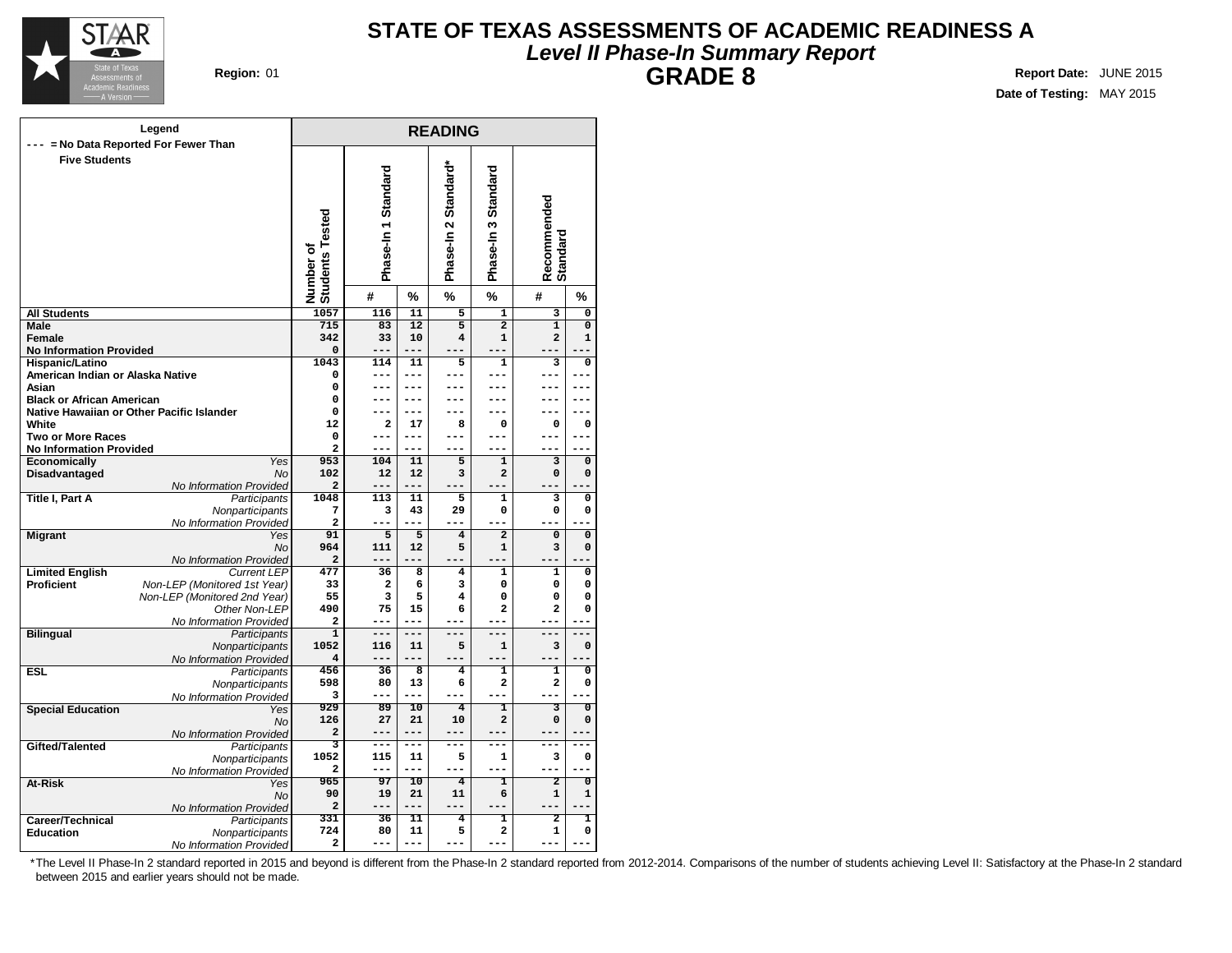

# **STATE OF TEXAS ASSESSMENTS OF ACADEMIC READINESS A Level II Phase-In Summary Report GRADE 8 Region:** 01 **Report Date:** JUNE 2015

**Date of Testing:** MAY 2015

|                                                   | Legend                                    |                              |                     |                 | <b>READING</b>          |                          |                                |                               |
|---------------------------------------------------|-------------------------------------------|------------------------------|---------------------|-----------------|-------------------------|--------------------------|--------------------------------|-------------------------------|
| --- = No Data Reported For Fewer Than             |                                           |                              |                     |                 |                         |                          |                                |                               |
| <b>Five Students</b>                              |                                           | Number of<br>Students Tested | Phase-In 1 Standard |                 | Phase-In 2 Standard*    | Standard<br>Phase-In 3   | Recommended<br>Standard        |                               |
|                                                   |                                           |                              | #                   | %               | %                       | $\frac{9}{6}$            | #                              | %                             |
| <b>All Students</b>                               |                                           | 1057                         | 116                 | 11              | 5                       | $\mathbf{1}$             | 3                              | $\mathbf 0$                   |
| Male                                              |                                           | 715                          | 83                  | 12              | $\overline{5}$          | $\overline{\mathbf{2}}$  | $\overline{1}$                 | $\overline{0}$                |
| Female                                            |                                           | 342                          | 33                  | 10              | $\overline{\mathbf{4}}$ | $\mathbf{1}$             | 2                              | $\mathbf{1}$                  |
| <b>No Information Provided</b><br>Hispanic/Latino |                                           | 0<br>1043                    | ---<br>114          | $---$<br>11     | 5                       | ---<br>$\mathbf{1}$      | 3                              | 0                             |
| American Indian or Alaska Native                  |                                           | 0                            | ---                 |                 |                         | ---                      | ---                            |                               |
| Asian                                             |                                           | 0                            | ---                 | ---             |                         | ---                      | ---                            | ---                           |
| <b>Black or African American</b>                  |                                           | 0                            | ---                 | $- - -$         |                         | ---                      | ---                            | ---                           |
|                                                   | Native Hawaiian or Other Pacific Islander | 0                            | ---                 | ---             | ---                     | ---                      | ---                            | ---                           |
| White                                             |                                           | 12                           | 2                   | 17              | 8                       | $\mathbf 0$              | 0                              | 0                             |
| <b>Two or More Races</b>                          |                                           | 0                            | ---                 | ---             | ---                     | ---                      | ---                            | ---                           |
| <b>No Information Provided</b>                    |                                           | 2                            | ---                 | $---$           | $---$                   | ---                      | ---                            |                               |
| <b>Economically</b>                               | Yes                                       | 953                          | 104                 | 11              | 5                       | $\mathbf 1$              | 3                              | 0                             |
| Disadvantaged                                     | <b>No</b>                                 | 102                          | 12                  | 12              | 3                       | $\overline{a}$           | 0                              | $\mathbf 0$                   |
|                                                   | No Information Provided                   | $\overline{\mathbf{2}}$      | ---                 | $- - -$         |                         |                          |                                |                               |
| Title I, Part A                                   | Participants                              | 1048                         | 113                 | 11              | 5                       | $\mathbf{1}$             | 3                              | $\mathbf 0$                   |
|                                                   | Nonparticipants                           | 7<br>$\overline{\mathbf{c}}$ | 3<br>---            | 43<br>--        | 29<br>---               | 0<br>Ē,                  | 0                              | 0                             |
|                                                   | No Information Provided<br>Yes            | 91                           | 5                   | 5               | $\overline{\mathbf{4}}$ | $\overline{2}$           | 0                              | $\pmb{0}$                     |
| <b>Migrant</b>                                    | No                                        | 964                          | 111                 | 12              | 5                       | 1                        | 3                              | 0                             |
|                                                   | No Information Provided                   | $\overline{\mathbf{2}}$      |                     |                 |                         |                          |                                |                               |
| <b>Limited English</b>                            | <b>Current LEP</b>                        | 477                          | 36                  | 8               | 4                       | $\mathbf{1}$             | 1                              | $\mathbf 0$                   |
| <b>Proficient</b>                                 | Non-LEP (Monitored 1st Year)              | 33                           | 2                   | 6               | 3                       | 0                        | 0                              | 0                             |
|                                                   | Non-LEP (Monitored 2nd Year)              | 55                           | з                   | 5               | 4                       | 0                        | 0                              | $\mathbf 0$                   |
|                                                   | Other Non-LEP                             | 490                          | 75                  | 15              | 6                       | $\overline{\mathbf{2}}$  | $\overline{\mathbf{c}}$        | $\mathbf 0$                   |
|                                                   | No Information Provided                   | 2                            | ---                 | ---             | ---                     | ---                      | ---                            |                               |
| <b>Bilingual</b>                                  | Participants                              | $\overline{\mathbf{1}}$      | ---                 | $- - -$         | $---$                   | $- - -$                  | ---                            | ---                           |
|                                                   | Nonparticipants                           | 1052                         | 116                 | 11              | 5                       | $\mathbf{1}$             | 3                              | $\mathbf 0$                   |
|                                                   | No Information Provided                   | 4                            | ---                 |                 |                         |                          |                                |                               |
| <b>ESL</b>                                        | Participants                              | 456                          | 36                  | 8               | $\overline{\mathbf{4}}$ | $\mathbf{1}$             | 1                              | 0                             |
|                                                   | Nonparticipants                           | 598                          | 80                  | 13              | 6                       | 2                        | 2                              | $\mathbf 0$                   |
|                                                   | No Information Provided                   | 3                            | ---                 |                 |                         |                          |                                |                               |
| <b>Special Education</b>                          | Yes                                       | 929<br>126                   | 89<br>27            | 10<br>21        | 4<br>10                 | ī<br>$\overline{a}$      | 3<br>0                         | $\overline{0}$<br>$\mathbf 0$ |
|                                                   | <b>No</b>                                 | $\overline{\mathbf{2}}$      | ---                 | $---$           | $---$                   | $\overline{\phantom{0}}$ |                                |                               |
| Gifted/Talented                                   | No Information Provided                   | 3                            | ---                 | ---             | $---$                   | ---                      | ---                            | ---                           |
|                                                   | Participants<br>Nonparticipants           | 1052                         | 115                 | 11              | 5                       | 1                        | 3                              | 0                             |
|                                                   | No Information Provided                   | 2                            | ---                 | $---$           | $---$                   | ---                      | ---                            | ---                           |
| At-Risk                                           | Yes                                       | 965                          | $\overline{97}$     | $\overline{10}$ | $\overline{4}$          | ī                        | $\overline{2}$                 | $\overline{\mathfrak{o}}$     |
|                                                   | No                                        | 90                           | 19                  | 21              | 11                      | 6                        | 1                              | 1                             |
|                                                   | No Information Provided                   | 2                            | ---                 | $- - -$         | $---$                   | ---                      | --                             |                               |
| Career/Technical                                  | Participants                              | 331                          | 36                  | 11              | 4                       | T                        | 2                              | ı                             |
| <b>Education</b>                                  | Nonparticipants                           | 724                          | 80                  | 11              | 5                       | $\mathbf{2}$             | 1                              | $\mathbf 0$                   |
|                                                   | No Information Provided                   | 2                            | ---                 | ---             | $- - -$                 | L.<br>$-$                | $\overline{\phantom{0}}$<br>-- | L.                            |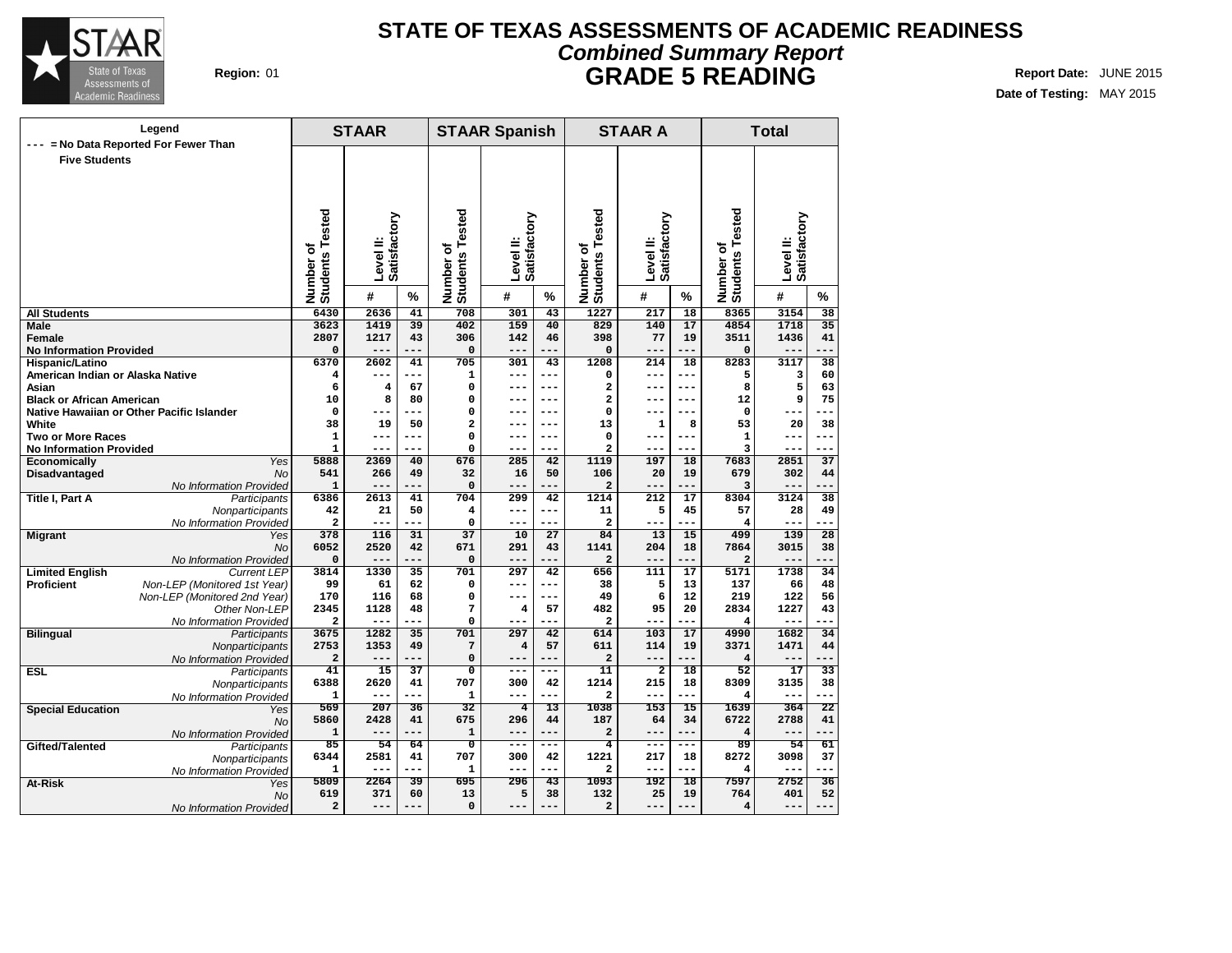

### **Region:** 01 **Report Date: JUNE 2015 REPORTER REPORT REPORT REPORT REPORT REPORT REPORT REPORT REPORT OF REPORT OF REPORT REPORT OF REPORT OF REPORT OF REPORT OF REPORT OF REPORT OF REPORT OF REPORT OF REPORT OF REPORT O STATE OF TEXAS ASSESSMENTS OF ACADEMIC READINESS Combined Summary Report GRADE 5 READING**

**Date of Testing:** MAY 2015

| Legend                                                    |                              | <b>STAAR</b>                         |                           |     | <b>STAAR Spanish</b>                   |                           |                 | <b>STAAR A</b>                    |                           |                 | <b>Total</b>                 |                           |                 |
|-----------------------------------------------------------|------------------------------|--------------------------------------|---------------------------|-----|----------------------------------------|---------------------------|-----------------|-----------------------------------|---------------------------|-----------------|------------------------------|---------------------------|-----------------|
| = No Data Reported For Fewer Than<br><b>Five Students</b> |                              | Tested<br>٥<br>Number of<br>Students | Satisfactory<br>Level II: |     | sted<br>قم<br>Number of<br>Students To | Satisfactory<br>Level II: |                 | ested<br>Number of<br>Students To | Satisfactory<br>Level II: |                 | Number of<br>Students Tested | Satisfactory<br>Level II: |                 |
|                                                           |                              |                                      | #                         | %   |                                        | #                         | %               |                                   | #                         | $\%$            |                              | #                         | %               |
| <b>All Students</b>                                       |                              | 6430                                 | 2636                      | 41  | 708                                    | 301                       | $\overline{43}$ | 1227                              | $\overline{217}$          | $\overline{18}$ | 8365                         | 3154                      | 38              |
| Male                                                      |                              | 3623                                 | 1419                      | 39  | 402                                    | 159                       | 40              | 829                               | 140                       | 17              | 4854                         | 1718                      | 35              |
| <b>Female</b>                                             |                              | 2807                                 | 1217                      | 43  | 306                                    | 142                       | 46              | 398                               | 77                        | 19              | 3511                         | 1436                      | 41              |
| <b>No Information Provided</b>                            |                              | $\mathbf 0$                          | $---$                     | --- | $\mathbf 0$                            | $---$                     | ---             | $\mathbf 0$                       | $---$                     | ---             | 0                            | ---                       | ---             |
| Hispanic/Latino                                           |                              | 6370                                 | 2602                      | 41  | 705                                    | 301                       | 43              | 1208                              | 214                       | 18              | 8283                         | 3117                      | 38              |
| American Indian or Alaska Native                          |                              | 4                                    | ---                       | --- | 1                                      | ---                       | ---             | 0                                 | $---$                     | $---$           | 5                            | 3                         | 60              |
| Asian                                                     |                              | 6                                    | 4                         | 67  | $\mathbf 0$                            | ---                       | ---             | 2                                 | $---$                     | $- - -$         | 8                            | 5                         | 63              |
| <b>Black or African American</b>                          |                              | 10                                   | 8                         | 80  | $\mathbf 0$                            | ---                       | ---             | 2                                 | ---                       | ---             | 12                           | 9                         | 75              |
| Native Hawaiian or Other Pacific Islander                 |                              | $\Omega$                             | ---                       | --- | $\Omega$                               | $---$                     | $---$           | 0                                 | $---$                     | $---$           | $\Omega$                     | $---$                     | ---             |
| White                                                     |                              | 38                                   | 19                        | 50  | $\mathbf{2}$                           | ---                       | ---             | 13                                | $\mathbf 1$               | 8               | 53                           | 20                        | 38              |
| <b>Two or More Races</b>                                  |                              | $\mathbf{1}$                         | ---                       | --- | $\mathbf 0$                            | ---                       | ---             | 0                                 | ---                       | $---$           | $\mathbf 1$                  | $\qquad \qquad -$         | ---             |
| <b>No Information Provided</b>                            |                              | $\mathbf{1}$                         | $---$                     | --- | $\Omega$                               | $---$                     | ---             | $\overline{a}$                    | $---$                     | ---             | 3                            | $---$                     | ---             |
| Economically                                              | Yes                          | 5888                                 | 2369                      | 40  | 676                                    | 285                       | 42              | 1119                              | 197                       | 18              | 7683                         | 2851                      | 37              |
| Disadvantaged                                             | No                           | 541                                  | 266                       | 49  | 32                                     | 16                        | 50              | 106                               | 20                        | 19              | 679                          | 302                       | 44              |
|                                                           | No Information Provided      | $\mathbf{1}$                         |                           |     | $\mathbf 0$                            | ---                       | ---             | 2                                 | ---                       | ---             | 3                            | $- -$                     |                 |
| Title I, Part A                                           | Participants                 | 6386                                 | 2613                      | 41  | 704                                    | 299                       | 42              | 1214                              | 212                       | 17              | 8304                         | 3124                      | 38              |
|                                                           | Nonparticipants              | 42                                   | 21                        | 50  | $\overline{\bf 4}$                     | $---$                     | ---             | 11                                | 5                         | 45              | 57                           | 28                        | 49              |
|                                                           | No Information Provided      | $\overline{\mathbf{c}}$              | ---                       | --- | 0                                      | ---                       | ---             | $\overline{\mathbf{2}}$           | ---                       | ---             | 4                            | $---$                     | ---             |
| <b>Migrant</b>                                            | Yes                          | 378                                  | 116                       | 31  | $\overline{37}$                        | 10                        | 27              | 84                                | 13                        | 15              | 499                          | 139                       | 28              |
|                                                           | <b>No</b>                    | 6052                                 | 2520                      | 42  | 671                                    | 291                       | 43              | 1141                              | 204                       | 18              | 7864                         | 3015                      | 38              |
|                                                           | No Information Provided      | $\mathbf 0$                          | ---                       |     | $\mathbf 0$                            | ---                       |                 | $\overline{a}$                    | ---                       | ---             | $\overline{a}$               |                           |                 |
| <b>Limited English</b>                                    | <b>Current LEP</b>           | 3814                                 | 1330                      | 35  | 701                                    | 297                       | 42              | 656                               | 111                       | 17              | $\frac{1}{5171}$             | 1738                      | 34              |
| <b>Proficient</b>                                         | Non-LEP (Monitored 1st Year) | 99                                   | 61                        | 62  | $\mathbf 0$                            | $---$                     | ---             | 38                                | 5                         | 13              | 137                          | 66                        | 48              |
|                                                           | Non-LEP (Monitored 2nd Year) | 170                                  | 116                       | 68  | $\mathbf 0$                            | ---                       | ---             | 49                                | 6                         | 12              | 219                          | 122                       | 56              |
|                                                           | Other Non-LEP                | 2345                                 | 1128                      | 48  | $\overline{7}$                         | 4                         | 57              | 482                               | 95                        | 20              | 2834                         | 1227                      | 43              |
|                                                           | No Information Provided      | $\overline{\mathbf{2}}$              | $---$                     | --- | $\mathbf 0$                            | ---                       | ---             | 2                                 | $---$                     | ---             | 4                            | $- - -$                   | ---             |
| <b>Bilingual</b>                                          | <b>Participants</b>          | 3675                                 | 1282                      | 35  | 701                                    | 297                       | 42              | 614                               | 103                       | 17              | 4990                         | 1682                      | 34              |
|                                                           | Nonparticipants              | 2753                                 | 1353                      | 49  | $7\phantom{.0}$                        | 4                         | 57              | 611                               | 114                       | 19              | 3371                         | 1471                      | 44              |
|                                                           | No Information Provided      | $\overline{\mathbf{2}}$              | $---$                     | --- | $\mathbf 0$                            | ---                       | ---             | $\mathbf{2}$                      | $---$                     | ---             | 4                            | $--$                      | ---             |
| <b>ESL</b>                                                | Participants                 | 41                                   | 15                        | 37  | $\mathbf 0$                            | $---$                     | ---             | 11                                | $\overline{\mathbf{2}}$   | 18              | 52                           | 17                        | 33              |
|                                                           | Nonparticipants              | 6388                                 | 2620                      | 41  | 707                                    | 300                       | 42              | 1214                              | 215                       | 18              | 8309                         | 3135                      | 38              |
|                                                           | No Information Provided      | $\mathbf{1}$                         | ---                       | --- | $\mathbf{1}$                           | ---                       | ---             | $\overline{a}$                    | ---                       | ---             | 4                            | $---$                     | ---             |
| <b>Special Education</b>                                  | Yes                          | 569                                  | 207                       | 36  | 32                                     | $\overline{4}$            | $\overline{13}$ | 1038                              | 153                       | 15              | 1639                         | 364                       | 22              |
|                                                           | <b>No</b>                    | 5860                                 | 2428                      | 41  | 675                                    | 296                       | 44              | 187                               | 64                        | 34              | 6722                         | 2788                      | 41              |
|                                                           | No Information Provided      | $\mathbf{1}$                         | $---$                     | --- | $\mathbf{1}$                           | ---                       | ---             | $\overline{a}$                    | ---                       | $---$           | $\overline{\mathbf{4}}$      |                           |                 |
| Gifted/Talented                                           | Participants                 | 85                                   | 54                        | 64  | $\overline{\mathfrak{o}}$              | $--$                      | ---             | 4                                 | ---                       | ---             | 89                           | 54                        | 61              |
|                                                           | Nonparticipants              | 6344                                 | 2581                      | 41  | 707                                    | 300                       | 42              | 1221                              | 217                       | 18              | 8272                         | 3098                      | 37              |
|                                                           | No Information Provided      | $\mathbf{1}$                         | ---                       | --- | $\mathbf{1}$                           | ---                       | ---             | 2                                 | ---                       | ---             | 4                            | --                        | ---             |
| At-Risk                                                   | Yes                          | 5809                                 | 2264                      | 39  | 695                                    | 296                       | $\overline{43}$ | 1093                              | 192                       | 18              | 7597                         | 2752                      | $\overline{36}$ |
|                                                           | No                           | 619                                  | 371                       | 60  | 13                                     | 5                         | 38              | 132                               | 25                        | 19              | 764                          | 401                       | 52              |
|                                                           | No Information Provided      | $\overline{\mathbf{2}}$              | ---                       | --- | $\mathbf 0$                            | ---                       | ---             | $\mathbf{2}$                      | ---                       | ---             | 4                            | ---                       | $---$           |